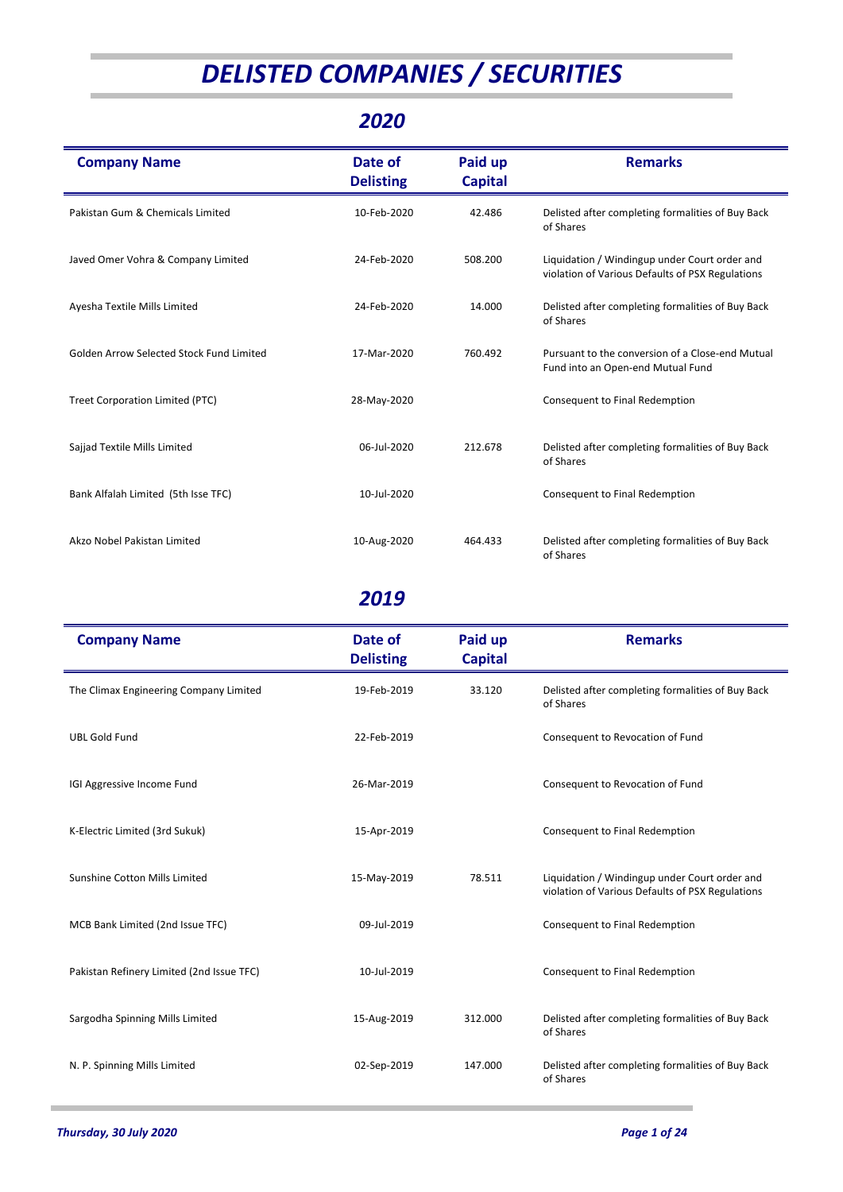# *DELISTED COMPANIES / SECURITIES*

#### *2020*

| <b>Company Name</b>                      | Date of<br><b>Delisting</b> | Paid up<br><b>Capital</b> | <b>Remarks</b>                                                                                    |
|------------------------------------------|-----------------------------|---------------------------|---------------------------------------------------------------------------------------------------|
| Pakistan Gum & Chemicals Limited         | 10-Feb-2020                 | 42.486                    | Delisted after completing formalities of Buy Back<br>of Shares                                    |
| Javed Omer Vohra & Company Limited       | 24-Feb-2020                 | 508.200                   | Liquidation / Windingup under Court order and<br>violation of Various Defaults of PSX Regulations |
| Ayesha Textile Mills Limited             | 24-Feb-2020                 | 14.000                    | Delisted after completing formalities of Buy Back<br>of Shares                                    |
| Golden Arrow Selected Stock Fund Limited | 17-Mar-2020                 | 760.492                   | Pursuant to the conversion of a Close-end Mutual<br>Fund into an Open-end Mutual Fund             |
| <b>Treet Corporation Limited (PTC)</b>   | 28-May-2020                 |                           | Consequent to Final Redemption                                                                    |
| Sajjad Textile Mills Limited             | 06-Jul-2020                 | 212.678                   | Delisted after completing formalities of Buy Back<br>of Shares                                    |
| Bank Alfalah Limited (5th Isse TFC)      | 10-Jul-2020                 |                           | Consequent to Final Redemption                                                                    |
| Akzo Nobel Pakistan Limited              | 10-Aug-2020                 | 464.433                   | Delisted after completing formalities of Buy Back<br>of Shares                                    |

| <b>Company Name</b>                       | Date of<br><b>Delisting</b> | Paid up<br><b>Capital</b> | <b>Remarks</b>                                                                                    |
|-------------------------------------------|-----------------------------|---------------------------|---------------------------------------------------------------------------------------------------|
| The Climax Engineering Company Limited    | 19-Feb-2019                 | 33.120                    | Delisted after completing formalities of Buy Back<br>of Shares                                    |
| <b>UBL Gold Fund</b>                      | 22-Feb-2019                 |                           | Consequent to Revocation of Fund                                                                  |
| IGI Aggressive Income Fund                | 26-Mar-2019                 |                           | Consequent to Revocation of Fund                                                                  |
| K-Electric Limited (3rd Sukuk)            | 15-Apr-2019                 |                           | Consequent to Final Redemption                                                                    |
| Sunshine Cotton Mills Limited             | 15-May-2019                 | 78.511                    | Liquidation / Windingup under Court order and<br>violation of Various Defaults of PSX Regulations |
| MCB Bank Limited (2nd Issue TFC)          | 09-Jul-2019                 |                           | Consequent to Final Redemption                                                                    |
| Pakistan Refinery Limited (2nd Issue TFC) | 10-Jul-2019                 |                           | Consequent to Final Redemption                                                                    |
| Sargodha Spinning Mills Limited           | 15-Aug-2019                 | 312.000                   | Delisted after completing formalities of Buy Back<br>of Shares                                    |
| N. P. Spinning Mills Limited              | 02-Sep-2019                 | 147.000                   | Delisted after completing formalities of Buy Back<br>of Shares                                    |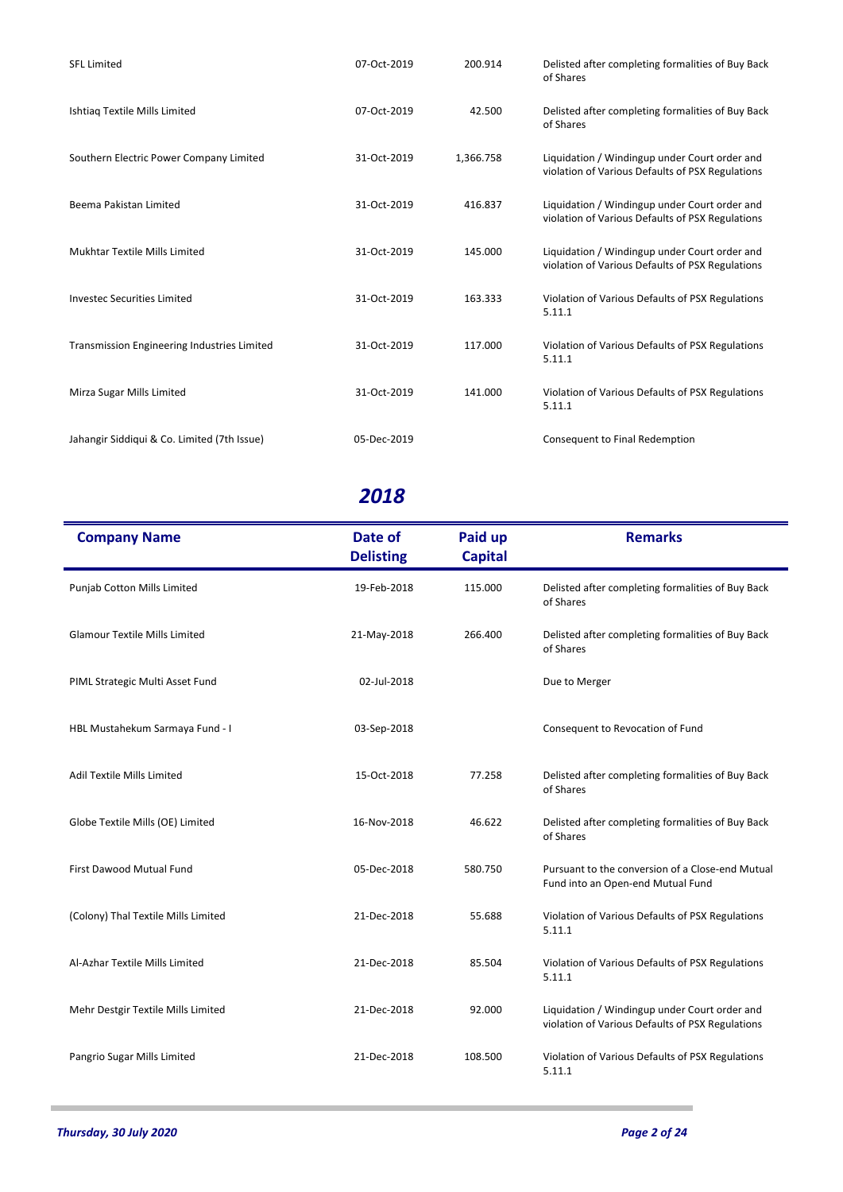| <b>SFL Limited</b>                                 | 07-Oct-2019 | 200.914   | Delisted after completing formalities of Buy Back<br>of Shares                                    |
|----------------------------------------------------|-------------|-----------|---------------------------------------------------------------------------------------------------|
| Ishtiaq Textile Mills Limited                      | 07-Oct-2019 | 42.500    | Delisted after completing formalities of Buy Back<br>of Shares                                    |
| Southern Electric Power Company Limited            | 31-Oct-2019 | 1,366.758 | Liquidation / Windingup under Court order and<br>violation of Various Defaults of PSX Regulations |
| Beema Pakistan Limited                             | 31-Oct-2019 | 416.837   | Liquidation / Windingup under Court order and<br>violation of Various Defaults of PSX Regulations |
| Mukhtar Textile Mills Limited                      | 31-Oct-2019 | 145.000   | Liquidation / Windingup under Court order and<br>violation of Various Defaults of PSX Regulations |
| <b>Investec Securities Limited</b>                 | 31-Oct-2019 | 163.333   | Violation of Various Defaults of PSX Regulations<br>5.11.1                                        |
| <b>Transmission Engineering Industries Limited</b> | 31-Oct-2019 | 117.000   | Violation of Various Defaults of PSX Regulations<br>5.11.1                                        |
| Mirza Sugar Mills Limited                          | 31-Oct-2019 | 141.000   | Violation of Various Defaults of PSX Regulations<br>5.11.1                                        |
| Jahangir Siddiqui & Co. Limited (7th Issue)        | 05-Dec-2019 |           | Consequent to Final Redemption                                                                    |

| <b>Company Name</b>                  | Date of<br><b>Delisting</b> | Paid up<br><b>Capital</b> | <b>Remarks</b>                                                                                    |
|--------------------------------------|-----------------------------|---------------------------|---------------------------------------------------------------------------------------------------|
| Punjab Cotton Mills Limited          | 19-Feb-2018                 | 115.000                   | Delisted after completing formalities of Buy Back<br>of Shares                                    |
| <b>Glamour Textile Mills Limited</b> | 21-May-2018                 | 266.400                   | Delisted after completing formalities of Buy Back<br>of Shares                                    |
| PIML Strategic Multi Asset Fund      | 02-Jul-2018                 |                           | Due to Merger                                                                                     |
| HBL Mustahekum Sarmaya Fund - I      | 03-Sep-2018                 |                           | Consequent to Revocation of Fund                                                                  |
| Adil Textile Mills Limited           | 15-Oct-2018                 | 77.258                    | Delisted after completing formalities of Buy Back<br>of Shares                                    |
| Globe Textile Mills (OE) Limited     | 16-Nov-2018                 | 46.622                    | Delisted after completing formalities of Buy Back<br>of Shares                                    |
| First Dawood Mutual Fund             | 05-Dec-2018                 | 580.750                   | Pursuant to the conversion of a Close-end Mutual<br>Fund into an Open-end Mutual Fund             |
| (Colony) Thal Textile Mills Limited  | 21-Dec-2018                 | 55.688                    | Violation of Various Defaults of PSX Regulations<br>5.11.1                                        |
| Al-Azhar Textile Mills Limited       | 21-Dec-2018                 | 85.504                    | Violation of Various Defaults of PSX Regulations<br>5.11.1                                        |
| Mehr Destgir Textile Mills Limited   | 21-Dec-2018                 | 92.000                    | Liquidation / Windingup under Court order and<br>violation of Various Defaults of PSX Regulations |
| Pangrio Sugar Mills Limited          | 21-Dec-2018                 | 108.500                   | Violation of Various Defaults of PSX Regulations<br>5.11.1                                        |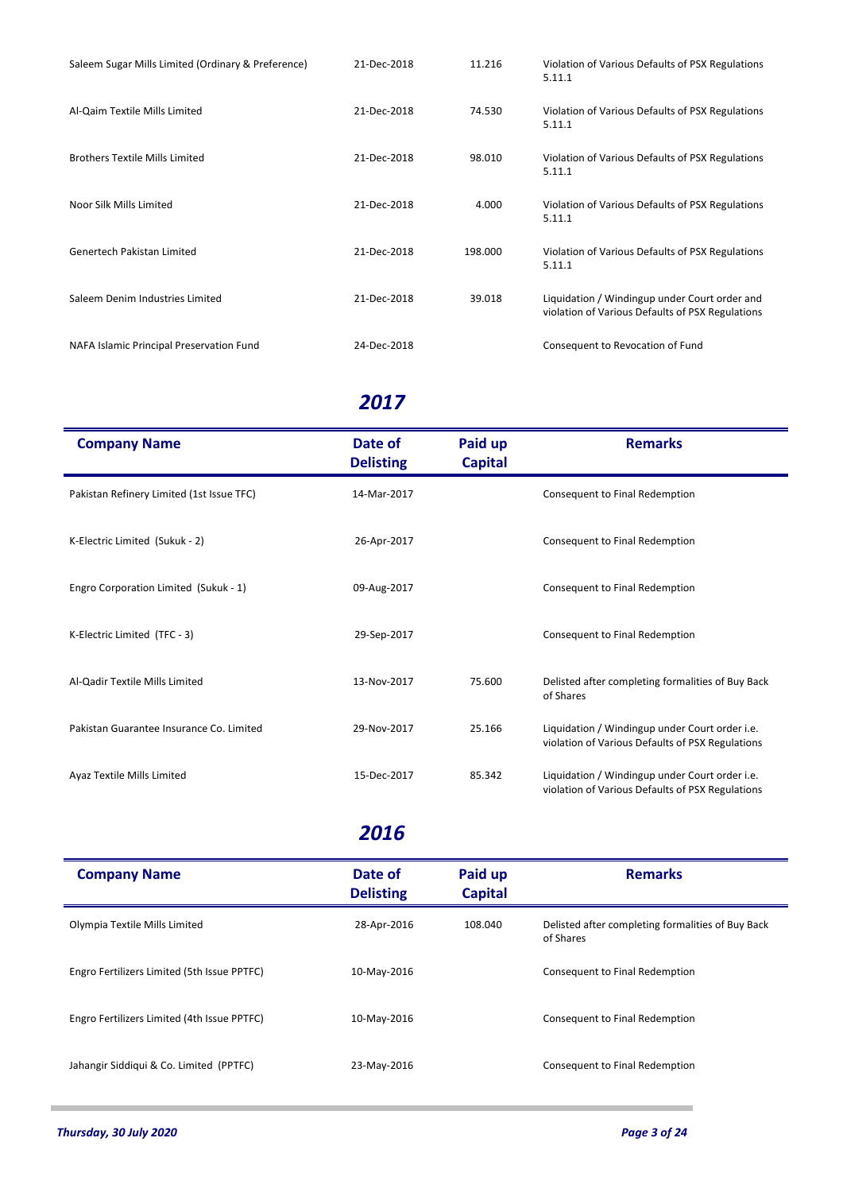| Saleem Sugar Mills Limited (Ordinary & Preference) | 21-Dec-2018 | 11.216  | Violation of Various Defaults of PSX Regulations<br>5.11.1                                        |
|----------------------------------------------------|-------------|---------|---------------------------------------------------------------------------------------------------|
| Al-Qaim Textile Mills Limited                      | 21-Dec-2018 | 74.530  | Violation of Various Defaults of PSX Regulations<br>5.11.1                                        |
| <b>Brothers Textile Mills Limited</b>              | 21-Dec-2018 | 98.010  | Violation of Various Defaults of PSX Regulations<br>5.11.1                                        |
| Noor Silk Mills Limited                            | 21-Dec-2018 | 4.000   | Violation of Various Defaults of PSX Regulations<br>5.11.1                                        |
| Genertech Pakistan Limited                         | 21-Dec-2018 | 198.000 | Violation of Various Defaults of PSX Regulations<br>5.11.1                                        |
| Saleem Denim Industries Limited                    | 21-Dec-2018 | 39.018  | Liquidation / Windingup under Court order and<br>violation of Various Defaults of PSX Regulations |
| NAFA Islamic Principal Preservation Fund           | 24-Dec-2018 |         | Consequent to Revocation of Fund                                                                  |

| <b>Company Name</b>                       | Date of<br><b>Delisting</b> | Paid up<br><b>Capital</b> | <b>Remarks</b>                                                                                     |
|-------------------------------------------|-----------------------------|---------------------------|----------------------------------------------------------------------------------------------------|
| Pakistan Refinery Limited (1st Issue TFC) | 14-Mar-2017                 |                           | Consequent to Final Redemption                                                                     |
| K-Electric Limited (Sukuk - 2)            | 26-Apr-2017                 |                           | Consequent to Final Redemption                                                                     |
| Engro Corporation Limited (Sukuk - 1)     | 09-Aug-2017                 |                           | Consequent to Final Redemption                                                                     |
| K-Electric Limited (TFC - 3)              | 29-Sep-2017                 |                           | Consequent to Final Redemption                                                                     |
| Al-Qadir Textile Mills Limited            | 13-Nov-2017                 | 75.600                    | Delisted after completing formalities of Buy Back<br>of Shares                                     |
| Pakistan Guarantee Insurance Co. Limited  | 29-Nov-2017                 | 25.166                    | Liquidation / Windingup under Court order i.e.<br>violation of Various Defaults of PSX Regulations |
| Ayaz Textile Mills Limited                | 15-Dec-2017                 | 85.342                    | Liquidation / Windingup under Court order i.e.<br>violation of Various Defaults of PSX Regulations |

| <b>Company Name</b>                         | Date of<br><b>Delisting</b> | Paid up<br><b>Capital</b> | <b>Remarks</b>                                                 |
|---------------------------------------------|-----------------------------|---------------------------|----------------------------------------------------------------|
| Olympia Textile Mills Limited               | 28-Apr-2016                 | 108.040                   | Delisted after completing formalities of Buy Back<br>of Shares |
| Engro Fertilizers Limited (5th Issue PPTFC) | 10-May-2016                 |                           | Consequent to Final Redemption                                 |
| Engro Fertilizers Limited (4th Issue PPTFC) | 10-May-2016                 |                           | Consequent to Final Redemption                                 |
| Jahangir Siddiqui & Co. Limited (PPTFC)     | 23-May-2016                 |                           | Consequent to Final Redemption                                 |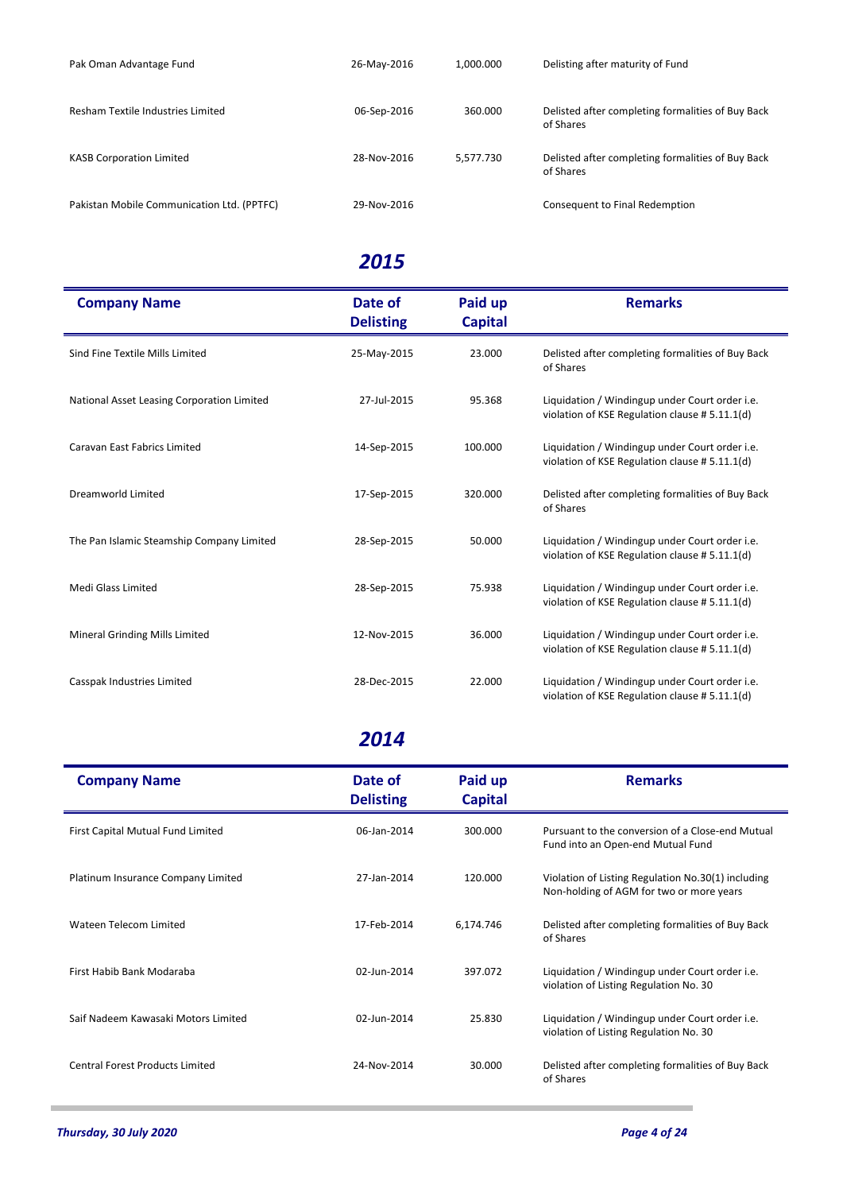| Pak Oman Advantage Fund                    | 26-May-2016 | 1.000.000 | Delisting after maturity of Fund                               |
|--------------------------------------------|-------------|-----------|----------------------------------------------------------------|
|                                            |             |           |                                                                |
| Resham Textile Industries Limited          | 06-Sep-2016 | 360.000   | Delisted after completing formalities of Buy Back<br>of Shares |
| <b>KASB Corporation Limited</b>            | 28-Nov-2016 | 5.577.730 | Delisted after completing formalities of Buy Back<br>of Shares |
| Pakistan Mobile Communication Ltd. (PPTFC) | 29-Nov-2016 |           | Consequent to Final Redemption                                 |

| <b>Company Name</b>                        | Date of<br><b>Delisting</b> | Paid up<br><b>Capital</b> | <b>Remarks</b>                                                                                   |
|--------------------------------------------|-----------------------------|---------------------------|--------------------------------------------------------------------------------------------------|
| Sind Fine Textile Mills Limited            | 25-May-2015                 | 23.000                    | Delisted after completing formalities of Buy Back<br>of Shares                                   |
| National Asset Leasing Corporation Limited | 27-Jul-2015                 | 95.368                    | Liquidation / Windingup under Court order i.e.<br>violation of KSE Regulation clause # 5.11.1(d) |
| Caravan East Fabrics Limited               | 14-Sep-2015                 | 100.000                   | Liquidation / Windingup under Court order i.e.<br>violation of KSE Regulation clause # 5.11.1(d) |
| Dreamworld Limited                         | 17-Sep-2015                 | 320.000                   | Delisted after completing formalities of Buy Back<br>of Shares                                   |
| The Pan Islamic Steamship Company Limited  | 28-Sep-2015                 | 50.000                    | Liquidation / Windingup under Court order i.e.<br>violation of KSE Regulation clause # 5.11.1(d) |
| Medi Glass Limited                         | 28-Sep-2015                 | 75.938                    | Liquidation / Windingup under Court order i.e.<br>violation of KSE Regulation clause # 5.11.1(d) |
| <b>Mineral Grinding Mills Limited</b>      | 12-Nov-2015                 | 36.000                    | Liquidation / Windingup under Court order i.e.<br>violation of KSE Regulation clause # 5.11.1(d) |
| Casspak Industries Limited                 | 28-Dec-2015                 | 22.000                    | Liquidation / Windingup under Court order i.e.<br>violation of KSE Regulation clause # 5.11.1(d) |

| <b>Company Name</b>                    | Date of<br><b>Delisting</b> | Paid up<br><b>Capital</b> | <b>Remarks</b>                                                                                 |
|----------------------------------------|-----------------------------|---------------------------|------------------------------------------------------------------------------------------------|
| First Capital Mutual Fund Limited      | 06-Jan-2014                 | 300.000                   | Pursuant to the conversion of a Close-end Mutual<br>Fund into an Open-end Mutual Fund          |
| Platinum Insurance Company Limited     | 27-Jan-2014                 | 120,000                   | Violation of Listing Regulation No.30(1) including<br>Non-holding of AGM for two or more years |
| Wateen Telecom Limited                 | 17-Feb-2014                 | 6,174.746                 | Delisted after completing formalities of Buy Back<br>of Shares                                 |
| First Habib Bank Modaraba              | 02-Jun-2014                 | 397.072                   | Liquidation / Windingup under Court order i.e.<br>violation of Listing Regulation No. 30       |
| Saif Nadeem Kawasaki Motors Limited    | 02-Jun-2014                 | 25.830                    | Liquidation / Windingup under Court order i.e.<br>violation of Listing Regulation No. 30       |
| <b>Central Forest Products Limited</b> | 24-Nov-2014                 | 30.000                    | Delisted after completing formalities of Buy Back<br>of Shares                                 |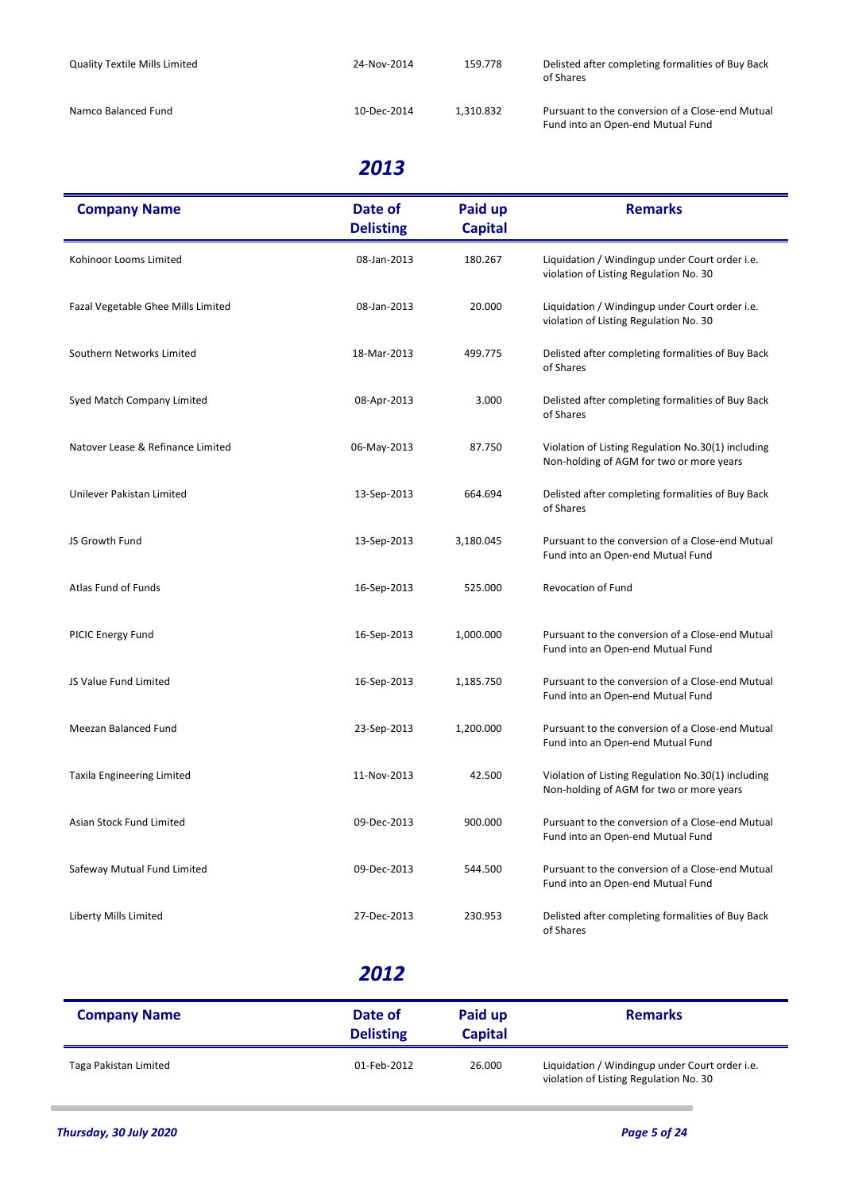| <b>Quality Textile Mills Limited</b> | 24-Nov-2014 | 159.778   | Delisted after completing formalities of Buy Back<br>of Shares                        |
|--------------------------------------|-------------|-----------|---------------------------------------------------------------------------------------|
| Namco Balanced Fund                  | 10-Dec-2014 | 1.310.832 | Pursuant to the conversion of a Close-end Mutual<br>Fund into an Open-end Mutual Fund |

| <b>Company Name</b>                | Date of<br><b>Delisting</b> | Paid up<br><b>Capital</b> | <b>Remarks</b>                                                                                 |
|------------------------------------|-----------------------------|---------------------------|------------------------------------------------------------------------------------------------|
| Kohinoor Looms Limited             | 08-Jan-2013                 | 180.267                   | Liquidation / Windingup under Court order i.e.<br>violation of Listing Regulation No. 30       |
| Fazal Vegetable Ghee Mills Limited | 08-Jan-2013                 | 20.000                    | Liquidation / Windingup under Court order i.e.<br>violation of Listing Regulation No. 30       |
| Southern Networks Limited          | 18-Mar-2013                 | 499.775                   | Delisted after completing formalities of Buy Back<br>of Shares                                 |
| Syed Match Company Limited         | 08-Apr-2013                 | 3.000                     | Delisted after completing formalities of Buy Back<br>of Shares                                 |
| Natover Lease & Refinance Limited  | 06-May-2013                 | 87.750                    | Violation of Listing Regulation No.30(1) including<br>Non-holding of AGM for two or more years |
| Unilever Pakistan Limited          | 13-Sep-2013                 | 664.694                   | Delisted after completing formalities of Buy Back<br>of Shares                                 |
| JS Growth Fund                     | 13-Sep-2013                 | 3,180.045                 | Pursuant to the conversion of a Close-end Mutual<br>Fund into an Open-end Mutual Fund          |
| Atlas Fund of Funds                | 16-Sep-2013                 | 525.000                   | <b>Revocation of Fund</b>                                                                      |
| PICIC Energy Fund                  | 16-Sep-2013                 | 1,000.000                 | Pursuant to the conversion of a Close-end Mutual<br>Fund into an Open-end Mutual Fund          |
| JS Value Fund Limited              | 16-Sep-2013                 | 1,185.750                 | Pursuant to the conversion of a Close-end Mutual<br>Fund into an Open-end Mutual Fund          |
| Meezan Balanced Fund               | 23-Sep-2013                 | 1,200.000                 | Pursuant to the conversion of a Close-end Mutual<br>Fund into an Open-end Mutual Fund          |
| Taxila Engineering Limited         | 11-Nov-2013                 | 42.500                    | Violation of Listing Regulation No.30(1) including<br>Non-holding of AGM for two or more years |
| Asian Stock Fund Limited           | 09-Dec-2013                 | 900.000                   | Pursuant to the conversion of a Close-end Mutual<br>Fund into an Open-end Mutual Fund          |
| Safeway Mutual Fund Limited        | 09-Dec-2013                 | 544.500                   | Pursuant to the conversion of a Close-end Mutual<br>Fund into an Open-end Mutual Fund          |
| Liberty Mills Limited              | 27-Dec-2013                 | 230.953                   | Delisted after completing formalities of Buy Back<br>of Shares                                 |

| <b>Company Name</b>   | Date of<br><b>Delisting</b> | Paid up<br><b>Capital</b> | <b>Remarks</b>                                                                           |
|-----------------------|-----------------------------|---------------------------|------------------------------------------------------------------------------------------|
| Taga Pakistan Limited | 01-Feb-2012                 | 26.000                    | Liquidation / Windingup under Court order i.e.<br>violation of Listing Regulation No. 30 |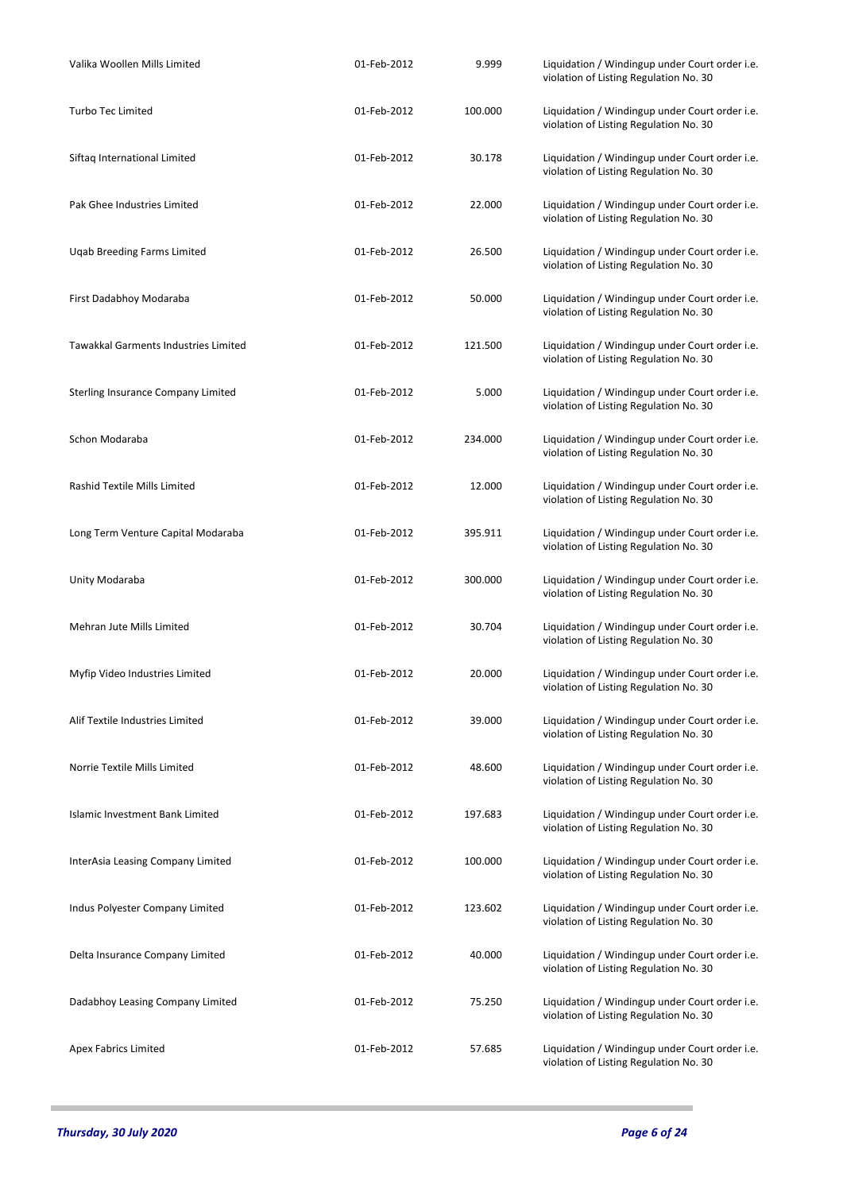| Valika Woollen Mills Limited         | 01-Feb-2012 | 9.999   | Liquidation / Windingup under Court order i.e.<br>violation of Listing Regulation No. 30 |
|--------------------------------------|-------------|---------|------------------------------------------------------------------------------------------|
| <b>Turbo Tec Limited</b>             | 01-Feb-2012 | 100.000 | Liquidation / Windingup under Court order i.e.<br>violation of Listing Regulation No. 30 |
| Siftaq International Limited         | 01-Feb-2012 | 30.178  | Liquidation / Windingup under Court order i.e.<br>violation of Listing Regulation No. 30 |
| Pak Ghee Industries Limited          | 01-Feb-2012 | 22.000  | Liquidation / Windingup under Court order i.e.<br>violation of Listing Regulation No. 30 |
| <b>Ugab Breeding Farms Limited</b>   | 01-Feb-2012 | 26.500  | Liquidation / Windingup under Court order i.e.<br>violation of Listing Regulation No. 30 |
| First Dadabhoy Modaraba              | 01-Feb-2012 | 50.000  | Liquidation / Windingup under Court order i.e.<br>violation of Listing Regulation No. 30 |
| Tawakkal Garments Industries Limited | 01-Feb-2012 | 121.500 | Liquidation / Windingup under Court order i.e.<br>violation of Listing Regulation No. 30 |
| Sterling Insurance Company Limited   | 01-Feb-2012 | 5.000   | Liquidation / Windingup under Court order i.e.<br>violation of Listing Regulation No. 30 |
| Schon Modaraba                       | 01-Feb-2012 | 234.000 | Liquidation / Windingup under Court order i.e.<br>violation of Listing Regulation No. 30 |
| Rashid Textile Mills Limited         | 01-Feb-2012 | 12.000  | Liquidation / Windingup under Court order i.e.<br>violation of Listing Regulation No. 30 |
| Long Term Venture Capital Modaraba   | 01-Feb-2012 | 395.911 | Liquidation / Windingup under Court order i.e.<br>violation of Listing Regulation No. 30 |
| Unity Modaraba                       | 01-Feb-2012 | 300.000 | Liquidation / Windingup under Court order i.e.<br>violation of Listing Regulation No. 30 |
| Mehran Jute Mills Limited            | 01-Feb-2012 | 30.704  | Liquidation / Windingup under Court order i.e.<br>violation of Listing Regulation No. 30 |
| Myfip Video Industries Limited       | 01-Feb-2012 | 20.000  | Liquidation / Windingup under Court order i.e.<br>violation of Listing Regulation No. 30 |
| Alif Textile Industries Limited      | 01-Feb-2012 | 39.000  | Liquidation / Windingup under Court order i.e.<br>violation of Listing Regulation No. 30 |
| Norrie Textile Mills Limited         | 01-Feb-2012 | 48.600  | Liquidation / Windingup under Court order i.e.<br>violation of Listing Regulation No. 30 |
| Islamic Investment Bank Limited      | 01-Feb-2012 | 197.683 | Liquidation / Windingup under Court order i.e.<br>violation of Listing Regulation No. 30 |
| InterAsia Leasing Company Limited    | 01-Feb-2012 | 100.000 | Liquidation / Windingup under Court order i.e.<br>violation of Listing Regulation No. 30 |
| Indus Polyester Company Limited      | 01-Feb-2012 | 123.602 | Liquidation / Windingup under Court order i.e.<br>violation of Listing Regulation No. 30 |
| Delta Insurance Company Limited      | 01-Feb-2012 | 40.000  | Liquidation / Windingup under Court order i.e.<br>violation of Listing Regulation No. 30 |
| Dadabhoy Leasing Company Limited     | 01-Feb-2012 | 75.250  | Liquidation / Windingup under Court order i.e.<br>violation of Listing Regulation No. 30 |
| Apex Fabrics Limited                 | 01-Feb-2012 | 57.685  | Liquidation / Windingup under Court order i.e.<br>violation of Listing Regulation No. 30 |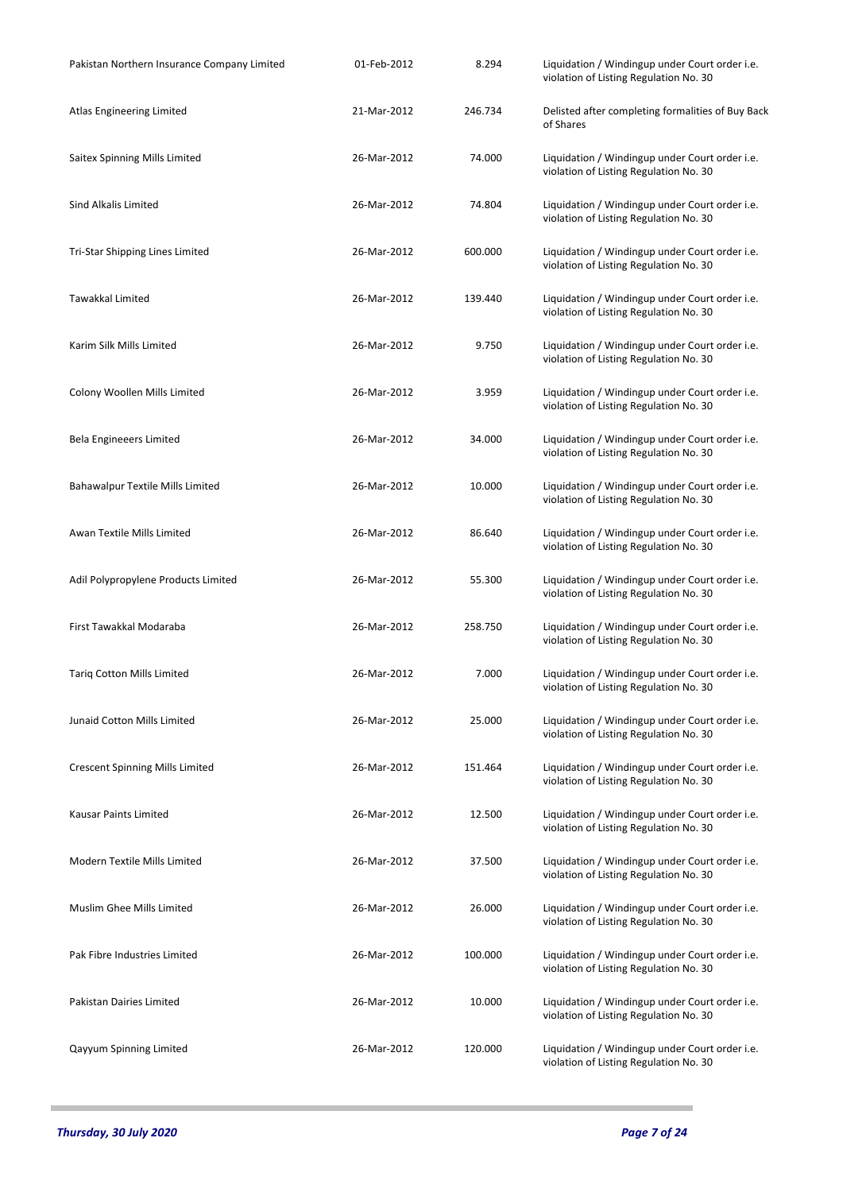| Pakistan Northern Insurance Company Limited | 01-Feb-2012 | 8.294   | Liquidation / Windingup under Court order i.e.<br>violation of Listing Regulation No. 30 |
|---------------------------------------------|-------------|---------|------------------------------------------------------------------------------------------|
| Atlas Engineering Limited                   | 21-Mar-2012 | 246.734 | Delisted after completing formalities of Buy Back<br>of Shares                           |
| Saitex Spinning Mills Limited               | 26-Mar-2012 | 74.000  | Liquidation / Windingup under Court order i.e.<br>violation of Listing Regulation No. 30 |
| Sind Alkalis Limited                        | 26-Mar-2012 | 74.804  | Liquidation / Windingup under Court order i.e.<br>violation of Listing Regulation No. 30 |
| Tri-Star Shipping Lines Limited             | 26-Mar-2012 | 600.000 | Liquidation / Windingup under Court order i.e.<br>violation of Listing Regulation No. 30 |
| Tawakkal Limited                            | 26-Mar-2012 | 139.440 | Liquidation / Windingup under Court order i.e.<br>violation of Listing Regulation No. 30 |
| Karim Silk Mills Limited                    | 26-Mar-2012 | 9.750   | Liquidation / Windingup under Court order i.e.<br>violation of Listing Regulation No. 30 |
| Colony Woollen Mills Limited                | 26-Mar-2012 | 3.959   | Liquidation / Windingup under Court order i.e.<br>violation of Listing Regulation No. 30 |
| Bela Engineeers Limited                     | 26-Mar-2012 | 34.000  | Liquidation / Windingup under Court order i.e.<br>violation of Listing Regulation No. 30 |
| <b>Bahawalpur Textile Mills Limited</b>     | 26-Mar-2012 | 10.000  | Liquidation / Windingup under Court order i.e.<br>violation of Listing Regulation No. 30 |
| Awan Textile Mills Limited                  | 26-Mar-2012 | 86.640  | Liquidation / Windingup under Court order i.e.<br>violation of Listing Regulation No. 30 |
| Adil Polypropylene Products Limited         | 26-Mar-2012 | 55.300  | Liquidation / Windingup under Court order i.e.<br>violation of Listing Regulation No. 30 |
| First Tawakkal Modaraba                     | 26-Mar-2012 | 258.750 | Liquidation / Windingup under Court order i.e.<br>violation of Listing Regulation No. 30 |
| <b>Tariq Cotton Mills Limited</b>           | 26-Mar-2012 | 7.000   | Liquidation / Windingup under Court order i.e.<br>violation of Listing Regulation No. 30 |
| Junaid Cotton Mills Limited                 | 26-Mar-2012 | 25.000  | Liquidation / Windingup under Court order i.e.<br>violation of Listing Regulation No. 30 |
| <b>Crescent Spinning Mills Limited</b>      | 26-Mar-2012 | 151.464 | Liquidation / Windingup under Court order i.e.<br>violation of Listing Regulation No. 30 |
| <b>Kausar Paints Limited</b>                | 26-Mar-2012 | 12.500  | Liquidation / Windingup under Court order i.e.<br>violation of Listing Regulation No. 30 |
| Modern Textile Mills Limited                | 26-Mar-2012 | 37.500  | Liquidation / Windingup under Court order i.e.<br>violation of Listing Regulation No. 30 |
| Muslim Ghee Mills Limited                   | 26-Mar-2012 | 26.000  | Liquidation / Windingup under Court order i.e.<br>violation of Listing Regulation No. 30 |
| Pak Fibre Industries Limited                | 26-Mar-2012 | 100.000 | Liquidation / Windingup under Court order i.e.<br>violation of Listing Regulation No. 30 |
| <b>Pakistan Dairies Limited</b>             | 26-Mar-2012 | 10.000  | Liquidation / Windingup under Court order i.e.<br>violation of Listing Regulation No. 30 |
| Qayyum Spinning Limited                     | 26-Mar-2012 | 120.000 | Liquidation / Windingup under Court order i.e.<br>violation of Listing Regulation No. 30 |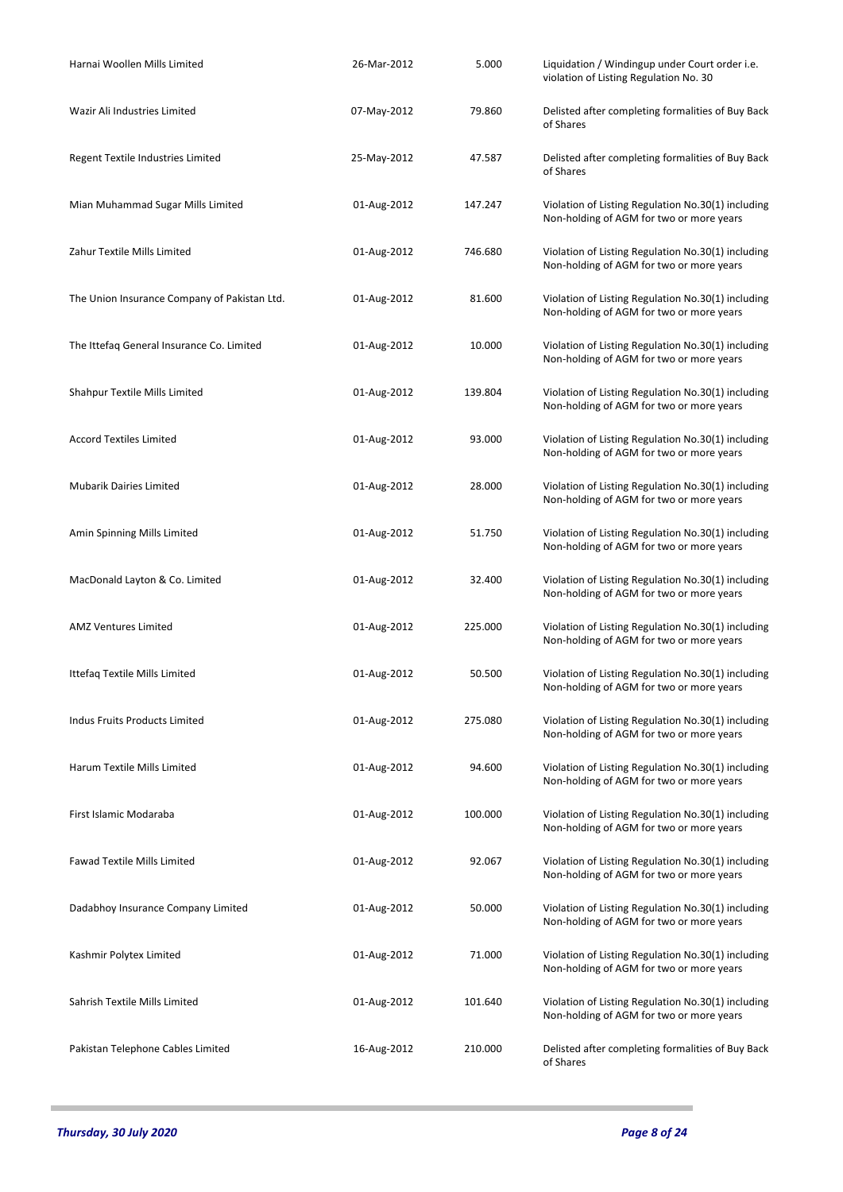| Harnai Woollen Mills Limited                 | 26-Mar-2012 | 5.000   | Liquidation / Windingup under Court order i.e.<br>violation of Listing Regulation No. 30       |
|----------------------------------------------|-------------|---------|------------------------------------------------------------------------------------------------|
| Wazir Ali Industries Limited                 | 07-May-2012 | 79.860  | Delisted after completing formalities of Buy Back<br>of Shares                                 |
| Regent Textile Industries Limited            | 25-May-2012 | 47.587  | Delisted after completing formalities of Buy Back<br>of Shares                                 |
| Mian Muhammad Sugar Mills Limited            | 01-Aug-2012 | 147.247 | Violation of Listing Regulation No.30(1) including<br>Non-holding of AGM for two or more years |
| Zahur Textile Mills Limited                  | 01-Aug-2012 | 746.680 | Violation of Listing Regulation No.30(1) including<br>Non-holding of AGM for two or more years |
| The Union Insurance Company of Pakistan Ltd. | 01-Aug-2012 | 81.600  | Violation of Listing Regulation No.30(1) including<br>Non-holding of AGM for two or more years |
| The Ittefaq General Insurance Co. Limited    | 01-Aug-2012 | 10.000  | Violation of Listing Regulation No.30(1) including<br>Non-holding of AGM for two or more years |
| Shahpur Textile Mills Limited                | 01-Aug-2012 | 139.804 | Violation of Listing Regulation No.30(1) including<br>Non-holding of AGM for two or more years |
| <b>Accord Textiles Limited</b>               | 01-Aug-2012 | 93.000  | Violation of Listing Regulation No.30(1) including<br>Non-holding of AGM for two or more years |
| <b>Mubarik Dairies Limited</b>               | 01-Aug-2012 | 28.000  | Violation of Listing Regulation No.30(1) including<br>Non-holding of AGM for two or more years |
| Amin Spinning Mills Limited                  | 01-Aug-2012 | 51.750  | Violation of Listing Regulation No.30(1) including<br>Non-holding of AGM for two or more years |
| MacDonald Layton & Co. Limited               | 01-Aug-2012 | 32.400  | Violation of Listing Regulation No.30(1) including<br>Non-holding of AGM for two or more years |
| AMZ Ventures Limited                         | 01-Aug-2012 | 225.000 | Violation of Listing Regulation No.30(1) including<br>Non-holding of AGM for two or more years |
| Ittefaq Textile Mills Limited                | 01-Aug-2012 | 50.500  | Violation of Listing Regulation No.30(1) including<br>Non-holding of AGM for two or more years |
| <b>Indus Fruits Products Limited</b>         | 01-Aug-2012 | 275.080 | Violation of Listing Regulation No.30(1) including<br>Non-holding of AGM for two or more years |
| Harum Textile Mills Limited                  | 01-Aug-2012 | 94.600  | Violation of Listing Regulation No.30(1) including<br>Non-holding of AGM for two or more years |
| First Islamic Modaraba                       | 01-Aug-2012 | 100.000 | Violation of Listing Regulation No.30(1) including<br>Non-holding of AGM for two or more years |
| <b>Fawad Textile Mills Limited</b>           | 01-Aug-2012 | 92.067  | Violation of Listing Regulation No.30(1) including<br>Non-holding of AGM for two or more years |
| Dadabhoy Insurance Company Limited           | 01-Aug-2012 | 50.000  | Violation of Listing Regulation No.30(1) including<br>Non-holding of AGM for two or more years |
| Kashmir Polytex Limited                      | 01-Aug-2012 | 71.000  | Violation of Listing Regulation No.30(1) including<br>Non-holding of AGM for two or more years |
| Sahrish Textile Mills Limited                | 01-Aug-2012 | 101.640 | Violation of Listing Regulation No.30(1) including<br>Non-holding of AGM for two or more years |
| Pakistan Telephone Cables Limited            | 16-Aug-2012 | 210.000 | Delisted after completing formalities of Buy Back<br>of Shares                                 |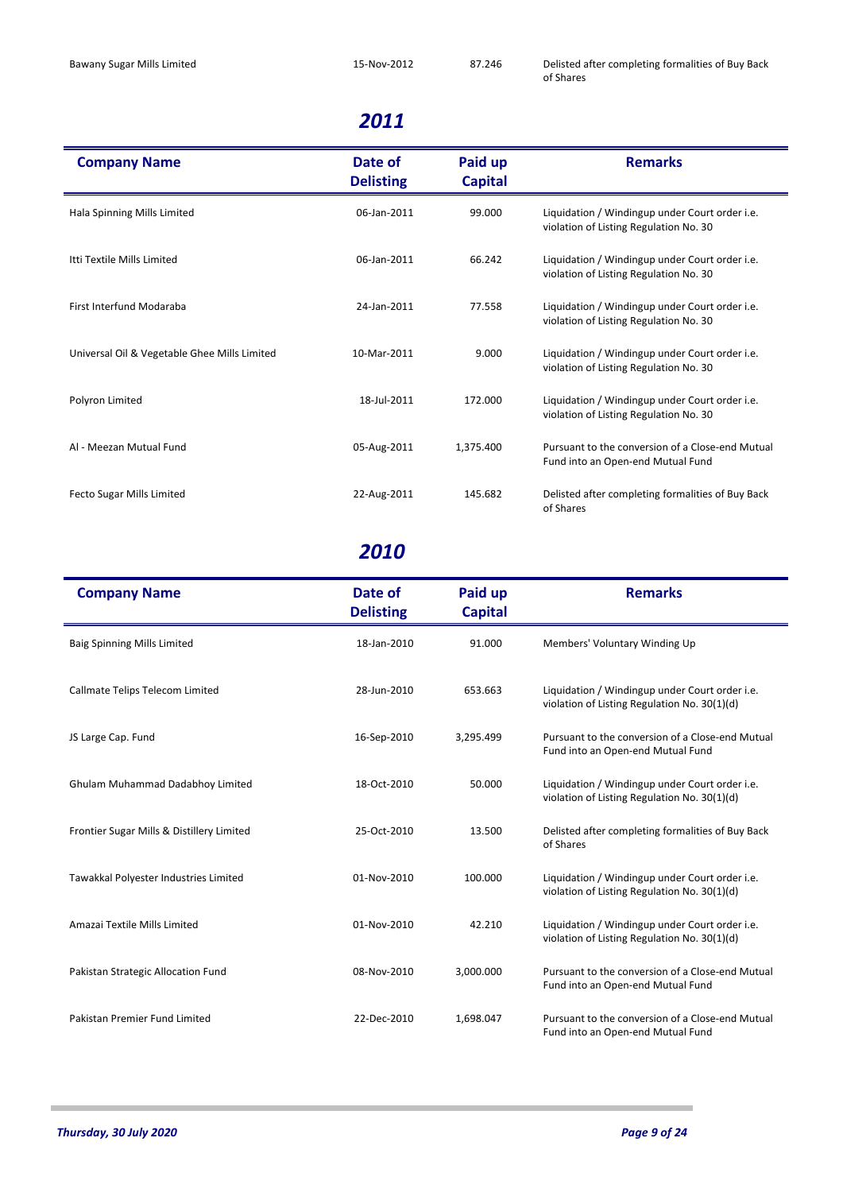| <b>Company Name</b>                          | Date of<br><b>Delisting</b> | Paid up<br><b>Capital</b> | <b>Remarks</b>                                                                           |
|----------------------------------------------|-----------------------------|---------------------------|------------------------------------------------------------------------------------------|
| Hala Spinning Mills Limited                  | 06-Jan-2011                 | 99.000                    | Liquidation / Windingup under Court order i.e.<br>violation of Listing Regulation No. 30 |
| Itti Textile Mills Limited                   | 06-Jan-2011                 | 66.242                    | Liquidation / Windingup under Court order i.e.<br>violation of Listing Regulation No. 30 |
| <b>First Interfund Modaraba</b>              | 24-Jan-2011                 | 77.558                    | Liquidation / Windingup under Court order i.e.<br>violation of Listing Regulation No. 30 |
| Universal Oil & Vegetable Ghee Mills Limited | 10-Mar-2011                 | 9.000                     | Liquidation / Windingup under Court order i.e.<br>violation of Listing Regulation No. 30 |
| Polyron Limited                              | 18-Jul-2011                 | 172.000                   | Liquidation / Windingup under Court order i.e.<br>violation of Listing Regulation No. 30 |
| Al - Meezan Mutual Fund                      | 05-Aug-2011                 | 1,375.400                 | Pursuant to the conversion of a Close-end Mutual<br>Fund into an Open-end Mutual Fund    |
| Fecto Sugar Mills Limited                    | 22-Aug-2011                 | 145.682                   | Delisted after completing formalities of Buy Back<br>of Shares                           |

| <b>Company Name</b>                       | Date of<br><b>Delisting</b> | Paid up<br><b>Capital</b> | <b>Remarks</b>                                                                                 |
|-------------------------------------------|-----------------------------|---------------------------|------------------------------------------------------------------------------------------------|
| <b>Baig Spinning Mills Limited</b>        | 18-Jan-2010                 | 91.000                    | Members' Voluntary Winding Up                                                                  |
| Callmate Telips Telecom Limited           | 28-Jun-2010                 | 653.663                   | Liquidation / Windingup under Court order i.e.<br>violation of Listing Regulation No. 30(1)(d) |
| JS Large Cap. Fund                        | 16-Sep-2010                 | 3,295.499                 | Pursuant to the conversion of a Close-end Mutual<br>Fund into an Open-end Mutual Fund          |
| Ghulam Muhammad Dadabhoy Limited          | 18-Oct-2010                 | 50.000                    | Liquidation / Windingup under Court order i.e.<br>violation of Listing Regulation No. 30(1)(d) |
| Frontier Sugar Mills & Distillery Limited | 25-Oct-2010                 | 13.500                    | Delisted after completing formalities of Buy Back<br>of Shares                                 |
| Tawakkal Polyester Industries Limited     | 01-Nov-2010                 | 100.000                   | Liquidation / Windingup under Court order i.e.<br>violation of Listing Regulation No. 30(1)(d) |
| Amazai Textile Mills Limited              | 01-Nov-2010                 | 42.210                    | Liquidation / Windingup under Court order i.e.<br>violation of Listing Regulation No. 30(1)(d) |
| Pakistan Strategic Allocation Fund        | 08-Nov-2010                 | 3,000.000                 | Pursuant to the conversion of a Close-end Mutual<br>Fund into an Open-end Mutual Fund          |
| Pakistan Premier Fund Limited             | 22-Dec-2010                 | 1,698.047                 | Pursuant to the conversion of a Close-end Mutual<br>Fund into an Open-end Mutual Fund          |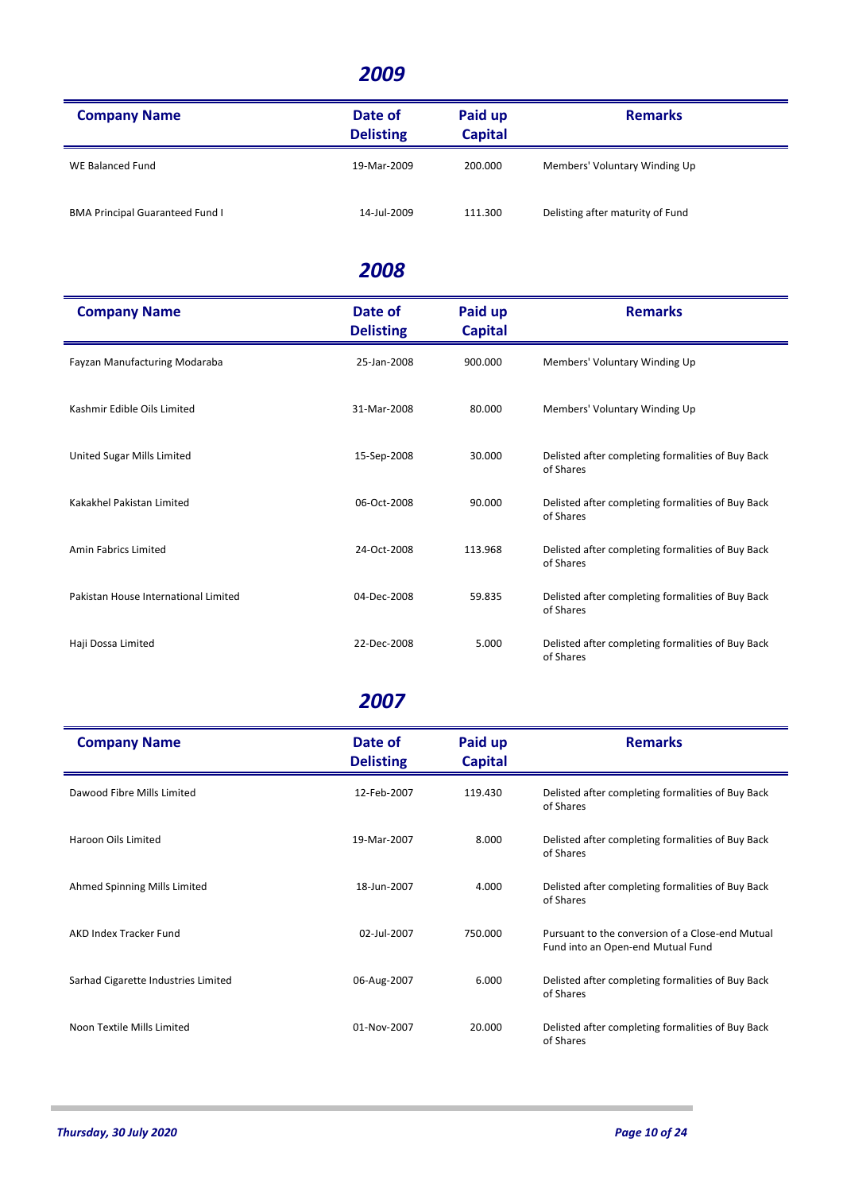| <b>Company Name</b>                    | Date of<br><b>Delisting</b> | Paid up<br><b>Capital</b> | <b>Remarks</b>                   |
|----------------------------------------|-----------------------------|---------------------------|----------------------------------|
| WE Balanced Fund                       | 19-Mar-2009                 | 200,000                   | Members' Voluntary Winding Up    |
| <b>BMA Principal Guaranteed Fund I</b> | 14-Jul-2009                 | 111.300                   | Delisting after maturity of Fund |

#### *2008*

| <b>Company Name</b>                  | Date of<br><b>Delisting</b> | Paid up<br><b>Capital</b> | <b>Remarks</b>                                                 |
|--------------------------------------|-----------------------------|---------------------------|----------------------------------------------------------------|
| Fayzan Manufacturing Modaraba        | 25-Jan-2008                 | 900.000                   | Members' Voluntary Winding Up                                  |
| Kashmir Edible Oils Limited          | 31-Mar-2008                 | 80.000                    | Members' Voluntary Winding Up                                  |
| United Sugar Mills Limited           | 15-Sep-2008                 | 30.000                    | Delisted after completing formalities of Buy Back<br>of Shares |
| Kakakhel Pakistan Limited            | 06-Oct-2008                 | 90.000                    | Delisted after completing formalities of Buy Back<br>of Shares |
| Amin Fabrics Limited                 | 24-Oct-2008                 | 113.968                   | Delisted after completing formalities of Buy Back<br>of Shares |
| Pakistan House International Limited | 04-Dec-2008                 | 59.835                    | Delisted after completing formalities of Buy Back<br>of Shares |
| Haji Dossa Limited                   | 22-Dec-2008                 | 5.000                     | Delisted after completing formalities of Buy Back<br>of Shares |

| <b>Company Name</b>                 | Date of<br><b>Delisting</b> | Paid up<br><b>Capital</b> | <b>Remarks</b>                                                                        |
|-------------------------------------|-----------------------------|---------------------------|---------------------------------------------------------------------------------------|
| Dawood Fibre Mills Limited          | 12-Feb-2007                 | 119.430                   | Delisted after completing formalities of Buy Back<br>of Shares                        |
| Haroon Oils Limited                 | 19-Mar-2007                 | 8.000                     | Delisted after completing formalities of Buy Back<br>of Shares                        |
| Ahmed Spinning Mills Limited        | 18-Jun-2007                 | 4.000                     | Delisted after completing formalities of Buy Back<br>of Shares                        |
| AKD Index Tracker Fund              | 02-Jul-2007                 | 750.000                   | Pursuant to the conversion of a Close-end Mutual<br>Fund into an Open-end Mutual Fund |
| Sarhad Cigarette Industries Limited | 06-Aug-2007                 | 6.000                     | Delisted after completing formalities of Buy Back<br>of Shares                        |
| Noon Textile Mills Limited          | 01-Nov-2007                 | 20.000                    | Delisted after completing formalities of Buy Back<br>of Shares                        |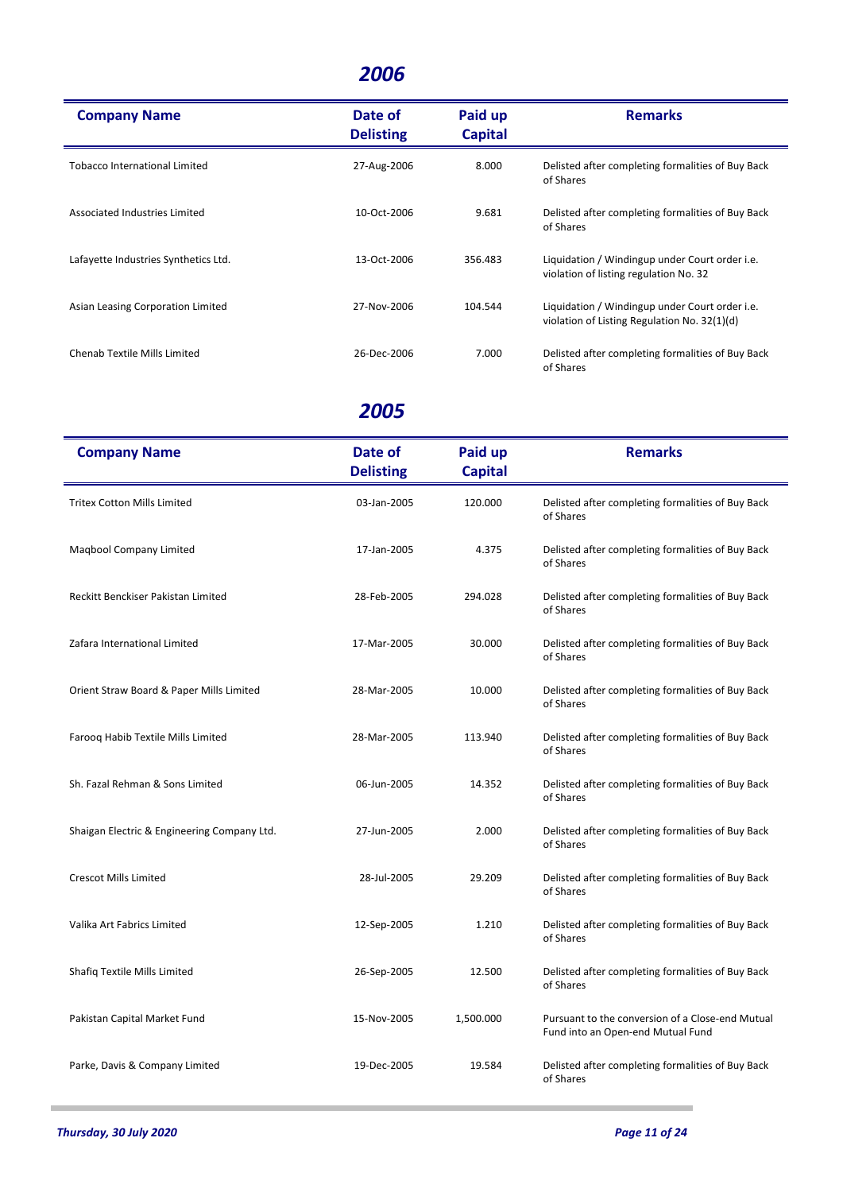| <b>Company Name</b>                  | Date of<br><b>Delisting</b> | Paid up<br><b>Capital</b> | <b>Remarks</b>                                                                                 |
|--------------------------------------|-----------------------------|---------------------------|------------------------------------------------------------------------------------------------|
| <b>Tobacco International Limited</b> | 27-Aug-2006                 | 8.000                     | Delisted after completing formalities of Buy Back<br>of Shares                                 |
| Associated Industries Limited        | 10-Oct-2006                 | 9.681                     | Delisted after completing formalities of Buy Back<br>of Shares                                 |
| Lafayette Industries Synthetics Ltd. | 13-Oct-2006                 | 356.483                   | Liquidation / Windingup under Court order i.e.<br>violation of listing regulation No. 32       |
| Asian Leasing Corporation Limited    | 27-Nov-2006                 | 104.544                   | Liquidation / Windingup under Court order i.e.<br>violation of Listing Regulation No. 32(1)(d) |
| Chenab Textile Mills Limited         | 26-Dec-2006                 | 7.000                     | Delisted after completing formalities of Buy Back<br>of Shares                                 |

| <b>Company Name</b>                         | Date of<br><b>Delisting</b> | Paid up<br><b>Capital</b> | <b>Remarks</b>                                                                        |
|---------------------------------------------|-----------------------------|---------------------------|---------------------------------------------------------------------------------------|
| <b>Tritex Cotton Mills Limited</b>          | 03-Jan-2005                 | 120.000                   | Delisted after completing formalities of Buy Back<br>of Shares                        |
| Maqbool Company Limited                     | 17-Jan-2005                 | 4.375                     | Delisted after completing formalities of Buy Back<br>of Shares                        |
| Reckitt Benckiser Pakistan Limited          | 28-Feb-2005                 | 294.028                   | Delisted after completing formalities of Buy Back<br>of Shares                        |
| Zafara International Limited                | 17-Mar-2005                 | 30.000                    | Delisted after completing formalities of Buy Back<br>of Shares                        |
| Orient Straw Board & Paper Mills Limited    | 28-Mar-2005                 | 10.000                    | Delisted after completing formalities of Buy Back<br>of Shares                        |
| Farooq Habib Textile Mills Limited          | 28-Mar-2005                 | 113.940                   | Delisted after completing formalities of Buy Back<br>of Shares                        |
| Sh. Fazal Rehman & Sons Limited             | 06-Jun-2005                 | 14.352                    | Delisted after completing formalities of Buy Back<br>of Shares                        |
| Shaigan Electric & Engineering Company Ltd. | 27-Jun-2005                 | 2.000                     | Delisted after completing formalities of Buy Back<br>of Shares                        |
| <b>Crescot Mills Limited</b>                | 28-Jul-2005                 | 29.209                    | Delisted after completing formalities of Buy Back<br>of Shares                        |
| Valika Art Fabrics Limited                  | 12-Sep-2005                 | 1.210                     | Delisted after completing formalities of Buy Back<br>of Shares                        |
| Shafiq Textile Mills Limited                | 26-Sep-2005                 | 12.500                    | Delisted after completing formalities of Buy Back<br>of Shares                        |
| Pakistan Capital Market Fund                | 15-Nov-2005                 | 1,500.000                 | Pursuant to the conversion of a Close-end Mutual<br>Fund into an Open-end Mutual Fund |
| Parke, Davis & Company Limited              | 19-Dec-2005                 | 19.584                    | Delisted after completing formalities of Buy Back<br>of Shares                        |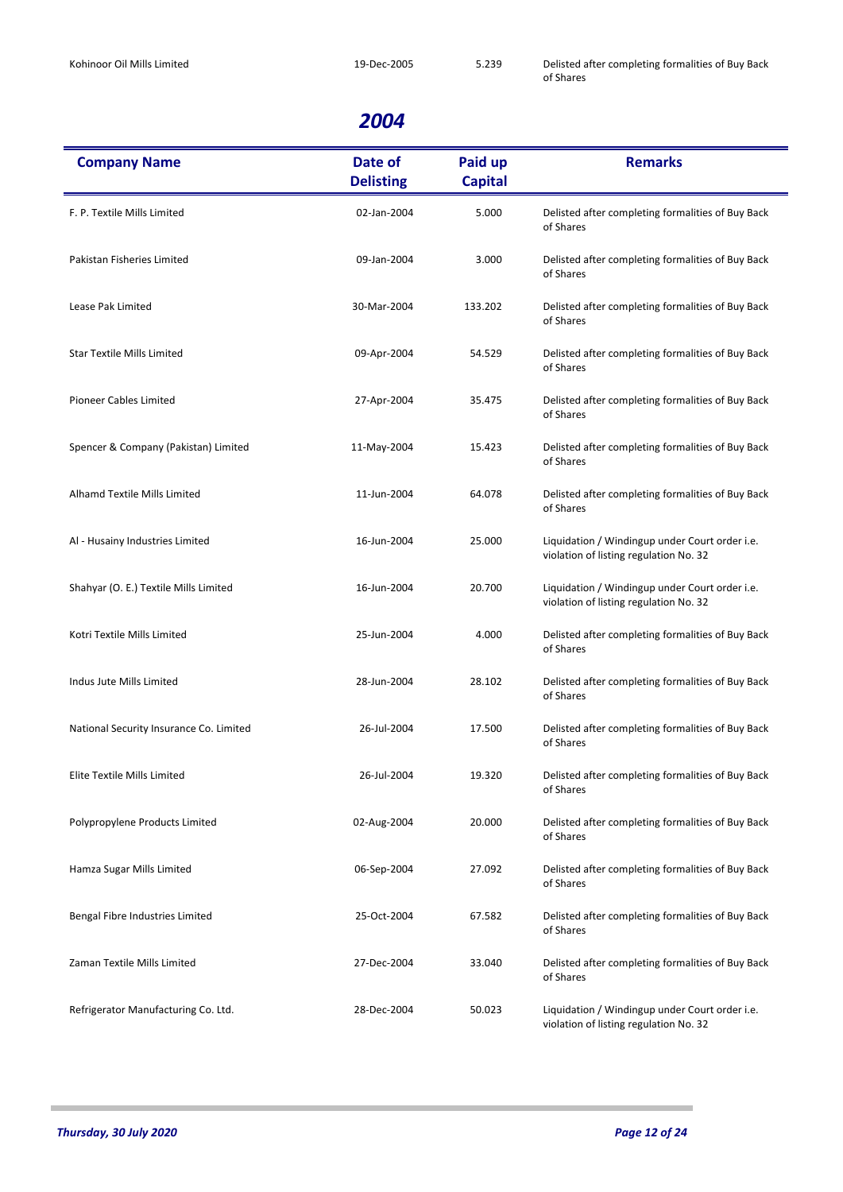| <b>Company Name</b>                     | Date of<br><b>Delisting</b> | Paid up<br><b>Capital</b> | <b>Remarks</b>                                                                           |
|-----------------------------------------|-----------------------------|---------------------------|------------------------------------------------------------------------------------------|
| F. P. Textile Mills Limited             | 02-Jan-2004                 | 5.000                     | Delisted after completing formalities of Buy Back<br>of Shares                           |
| Pakistan Fisheries Limited              | 09-Jan-2004                 | 3.000                     | Delisted after completing formalities of Buy Back<br>of Shares                           |
| Lease Pak Limited                       | 30-Mar-2004                 | 133.202                   | Delisted after completing formalities of Buy Back<br>of Shares                           |
| <b>Star Textile Mills Limited</b>       | 09-Apr-2004                 | 54.529                    | Delisted after completing formalities of Buy Back<br>of Shares                           |
| <b>Pioneer Cables Limited</b>           | 27-Apr-2004                 | 35.475                    | Delisted after completing formalities of Buy Back<br>of Shares                           |
| Spencer & Company (Pakistan) Limited    | 11-May-2004                 | 15.423                    | Delisted after completing formalities of Buy Back<br>of Shares                           |
| Alhamd Textile Mills Limited            | 11-Jun-2004                 | 64.078                    | Delisted after completing formalities of Buy Back<br>of Shares                           |
| Al - Husainy Industries Limited         | 16-Jun-2004                 | 25.000                    | Liquidation / Windingup under Court order i.e.<br>violation of listing regulation No. 32 |
| Shahyar (O. E.) Textile Mills Limited   | 16-Jun-2004                 | 20.700                    | Liquidation / Windingup under Court order i.e.<br>violation of listing regulation No. 32 |
| Kotri Textile Mills Limited             | 25-Jun-2004                 | 4.000                     | Delisted after completing formalities of Buy Back<br>of Shares                           |
| Indus Jute Mills Limited                | 28-Jun-2004                 | 28.102                    | Delisted after completing formalities of Buy Back<br>of Shares                           |
| National Security Insurance Co. Limited | 26-Jul-2004                 | 17.500                    | Delisted after completing formalities of Buy Back<br>of Shares                           |
| Elite Textile Mills Limited             | 26-Jul-2004                 | 19.320                    | Delisted after completing formalities of Buy Back<br>of Shares                           |
| Polypropylene Products Limited          | 02-Aug-2004                 | 20.000                    | Delisted after completing formalities of Buy Back<br>of Shares                           |
| Hamza Sugar Mills Limited               | 06-Sep-2004                 | 27.092                    | Delisted after completing formalities of Buy Back<br>of Shares                           |
| Bengal Fibre Industries Limited         | 25-Oct-2004                 | 67.582                    | Delisted after completing formalities of Buy Back<br>of Shares                           |
| Zaman Textile Mills Limited             | 27-Dec-2004                 | 33.040                    | Delisted after completing formalities of Buy Back<br>of Shares                           |
| Refrigerator Manufacturing Co. Ltd.     | 28-Dec-2004                 | 50.023                    | Liquidation / Windingup under Court order i.e.<br>violation of listing regulation No. 32 |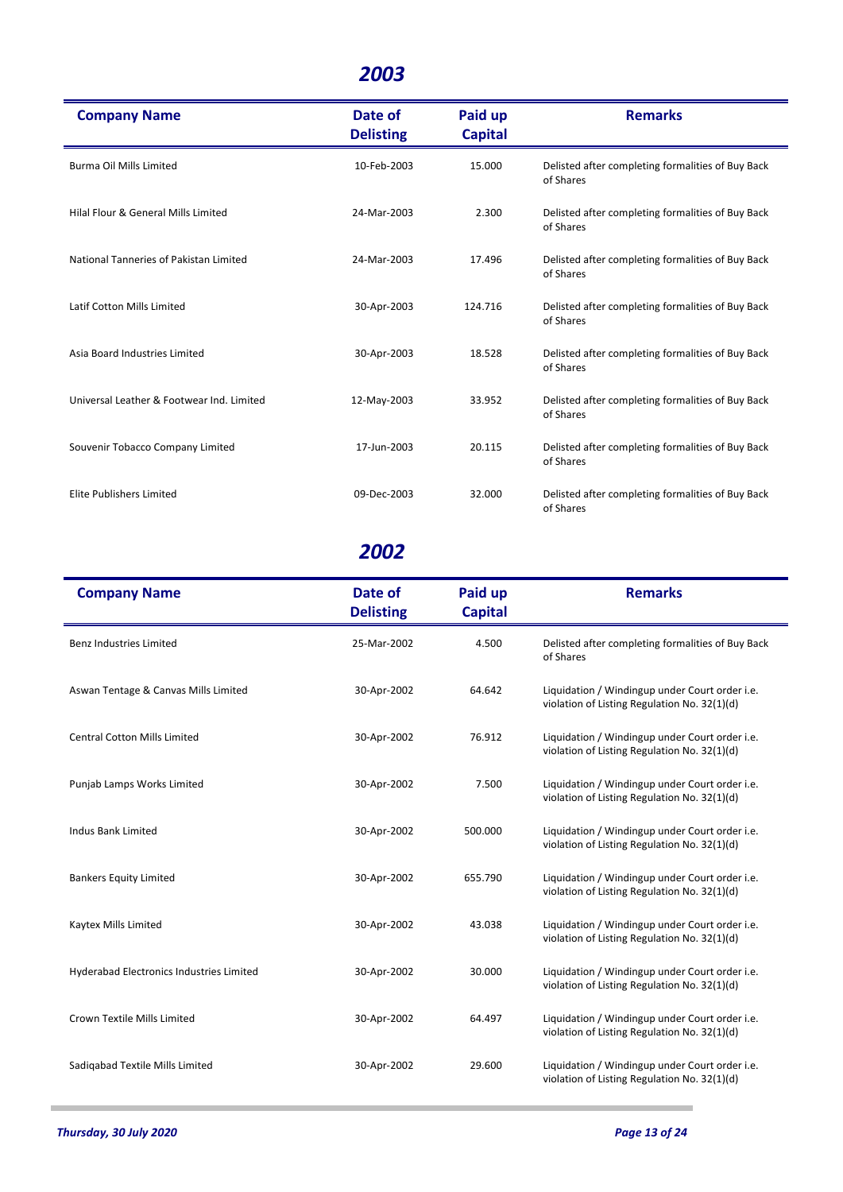| <b>Company Name</b>                       | Date of<br><b>Delisting</b> | Paid up<br><b>Capital</b> | <b>Remarks</b>                                                 |
|-------------------------------------------|-----------------------------|---------------------------|----------------------------------------------------------------|
| Burma Oil Mills Limited                   | 10-Feb-2003                 | 15.000                    | Delisted after completing formalities of Buy Back<br>of Shares |
| Hilal Flour & General Mills Limited       | 24-Mar-2003                 | 2.300                     | Delisted after completing formalities of Buy Back<br>of Shares |
| National Tanneries of Pakistan Limited    | 24-Mar-2003                 | 17.496                    | Delisted after completing formalities of Buy Back<br>of Shares |
| Latif Cotton Mills Limited                | 30-Apr-2003                 | 124.716                   | Delisted after completing formalities of Buy Back<br>of Shares |
| Asia Board Industries Limited             | 30-Apr-2003                 | 18.528                    | Delisted after completing formalities of Buy Back<br>of Shares |
| Universal Leather & Footwear Ind. Limited | 12-May-2003                 | 33.952                    | Delisted after completing formalities of Buy Back<br>of Shares |
| Souvenir Tobacco Company Limited          | 17-Jun-2003                 | 20.115                    | Delisted after completing formalities of Buy Back<br>of Shares |
| Elite Publishers Limited                  | 09-Dec-2003                 | 32.000                    | Delisted after completing formalities of Buy Back<br>of Shares |

| <b>Company Name</b>                      | Date of<br><b>Delisting</b> | Paid up<br><b>Capital</b> | <b>Remarks</b>                                                                                 |
|------------------------------------------|-----------------------------|---------------------------|------------------------------------------------------------------------------------------------|
| <b>Benz Industries Limited</b>           | 25-Mar-2002                 | 4.500                     | Delisted after completing formalities of Buy Back<br>of Shares                                 |
| Aswan Tentage & Canvas Mills Limited     | 30-Apr-2002                 | 64.642                    | Liquidation / Windingup under Court order i.e.<br>violation of Listing Regulation No. 32(1)(d) |
| <b>Central Cotton Mills Limited</b>      | 30-Apr-2002                 | 76.912                    | Liquidation / Windingup under Court order i.e.<br>violation of Listing Regulation No. 32(1)(d) |
| Punjab Lamps Works Limited               | 30-Apr-2002                 | 7.500                     | Liquidation / Windingup under Court order i.e.<br>violation of Listing Regulation No. 32(1)(d) |
| <b>Indus Bank Limited</b>                | 30-Apr-2002                 | 500.000                   | Liquidation / Windingup under Court order i.e.<br>violation of Listing Regulation No. 32(1)(d) |
| <b>Bankers Equity Limited</b>            | 30-Apr-2002                 | 655.790                   | Liquidation / Windingup under Court order i.e.<br>violation of Listing Regulation No. 32(1)(d) |
| Kaytex Mills Limited                     | 30-Apr-2002                 | 43.038                    | Liquidation / Windingup under Court order i.e.<br>violation of Listing Regulation No. 32(1)(d) |
| Hyderabad Electronics Industries Limited | 30-Apr-2002                 | 30.000                    | Liquidation / Windingup under Court order i.e.<br>violation of Listing Regulation No. 32(1)(d) |
| Crown Textile Mills Limited              | 30-Apr-2002                 | 64.497                    | Liquidation / Windingup under Court order i.e.<br>violation of Listing Regulation No. 32(1)(d) |
| Sadigabad Textile Mills Limited          | 30-Apr-2002                 | 29.600                    | Liquidation / Windingup under Court order i.e.<br>violation of Listing Regulation No. 32(1)(d) |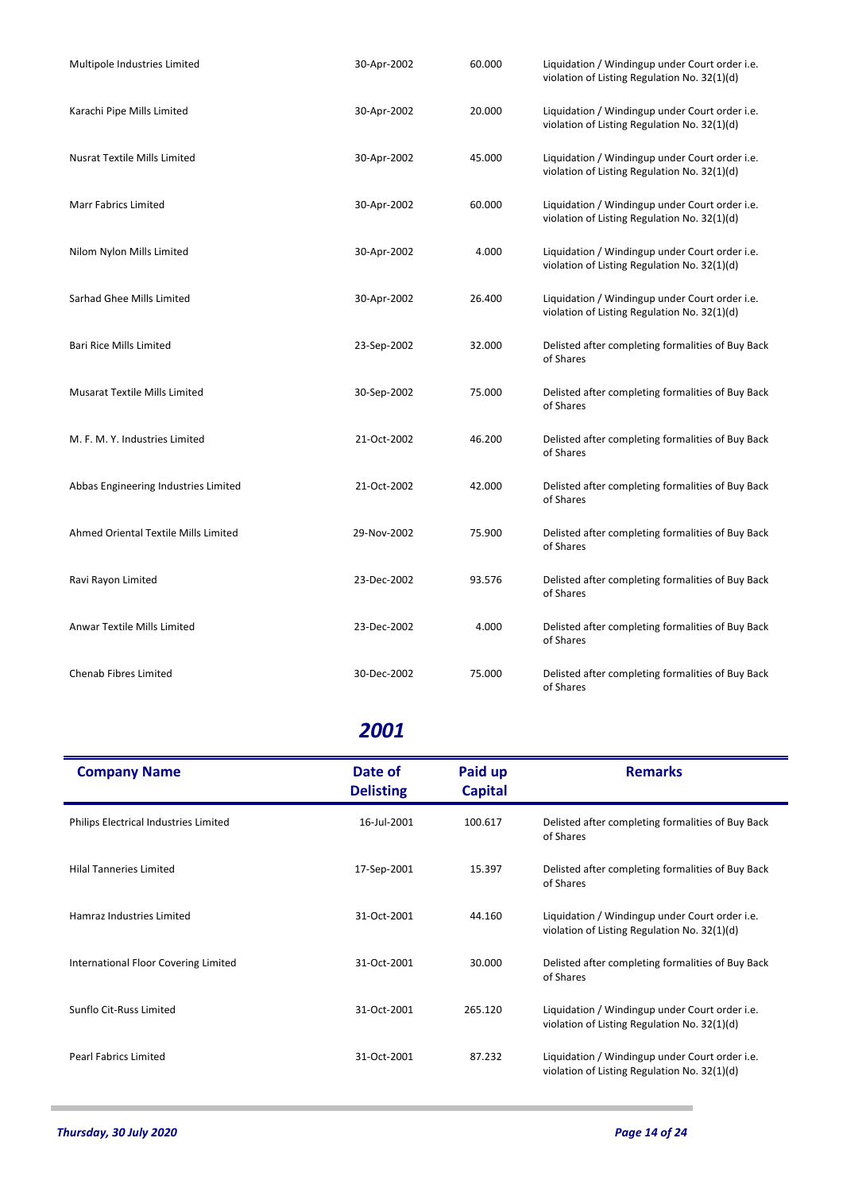| Multipole Industries Limited         | 30-Apr-2002 | 60.000 | Liquidation / Windingup under Court order i.e.<br>violation of Listing Regulation No. 32(1)(d) |
|--------------------------------------|-------------|--------|------------------------------------------------------------------------------------------------|
| Karachi Pipe Mills Limited           | 30-Apr-2002 | 20.000 | Liquidation / Windingup under Court order i.e.<br>violation of Listing Regulation No. 32(1)(d) |
| <b>Nusrat Textile Mills Limited</b>  | 30-Apr-2002 | 45.000 | Liquidation / Windingup under Court order i.e.<br>violation of Listing Regulation No. 32(1)(d) |
| <b>Marr Fabrics Limited</b>          | 30-Apr-2002 | 60.000 | Liquidation / Windingup under Court order i.e.<br>violation of Listing Regulation No. 32(1)(d) |
| Nilom Nylon Mills Limited            | 30-Apr-2002 | 4.000  | Liquidation / Windingup under Court order i.e.<br>violation of Listing Regulation No. 32(1)(d) |
| Sarhad Ghee Mills Limited            | 30-Apr-2002 | 26.400 | Liquidation / Windingup under Court order i.e.<br>violation of Listing Regulation No. 32(1)(d) |
| <b>Bari Rice Mills Limited</b>       | 23-Sep-2002 | 32.000 | Delisted after completing formalities of Buy Back<br>of Shares                                 |
| <b>Musarat Textile Mills Limited</b> | 30-Sep-2002 | 75.000 | Delisted after completing formalities of Buy Back<br>of Shares                                 |
| M. F. M. Y. Industries Limited       | 21-Oct-2002 | 46.200 | Delisted after completing formalities of Buy Back<br>of Shares                                 |
| Abbas Engineering Industries Limited | 21-Oct-2002 | 42.000 | Delisted after completing formalities of Buy Back<br>of Shares                                 |
| Ahmed Oriental Textile Mills Limited | 29-Nov-2002 | 75.900 | Delisted after completing formalities of Buy Back<br>of Shares                                 |
| Ravi Rayon Limited                   | 23-Dec-2002 | 93.576 | Delisted after completing formalities of Buy Back<br>of Shares                                 |
| Anwar Textile Mills Limited          | 23-Dec-2002 | 4.000  | Delisted after completing formalities of Buy Back<br>of Shares                                 |
| Chenab Fibres Limited                | 30-Dec-2002 | 75.000 | Delisted after completing formalities of Buy Back<br>of Shares                                 |

| <b>Company Name</b>                   | Date of<br><b>Delisting</b> | Paid up<br><b>Capital</b> | <b>Remarks</b>                                                                                 |
|---------------------------------------|-----------------------------|---------------------------|------------------------------------------------------------------------------------------------|
| Philips Electrical Industries Limited | 16-Jul-2001                 | 100.617                   | Delisted after completing formalities of Buy Back<br>of Shares                                 |
| <b>Hilal Tanneries Limited</b>        | 17-Sep-2001                 | 15.397                    | Delisted after completing formalities of Buy Back<br>of Shares                                 |
| Hamraz Industries Limited             | 31-Oct-2001                 | 44.160                    | Liquidation / Windingup under Court order i.e.<br>violation of Listing Regulation No. 32(1)(d) |
| International Floor Covering Limited  | 31-Oct-2001                 | 30.000                    | Delisted after completing formalities of Buy Back<br>of Shares                                 |
| Sunflo Cit-Russ Limited               | 31-Oct-2001                 | 265.120                   | Liquidation / Windingup under Court order i.e.<br>violation of Listing Regulation No. 32(1)(d) |
| <b>Pearl Fabrics Limited</b>          | 31-Oct-2001                 | 87.232                    | Liquidation / Windingup under Court order i.e.<br>violation of Listing Regulation No. 32(1)(d) |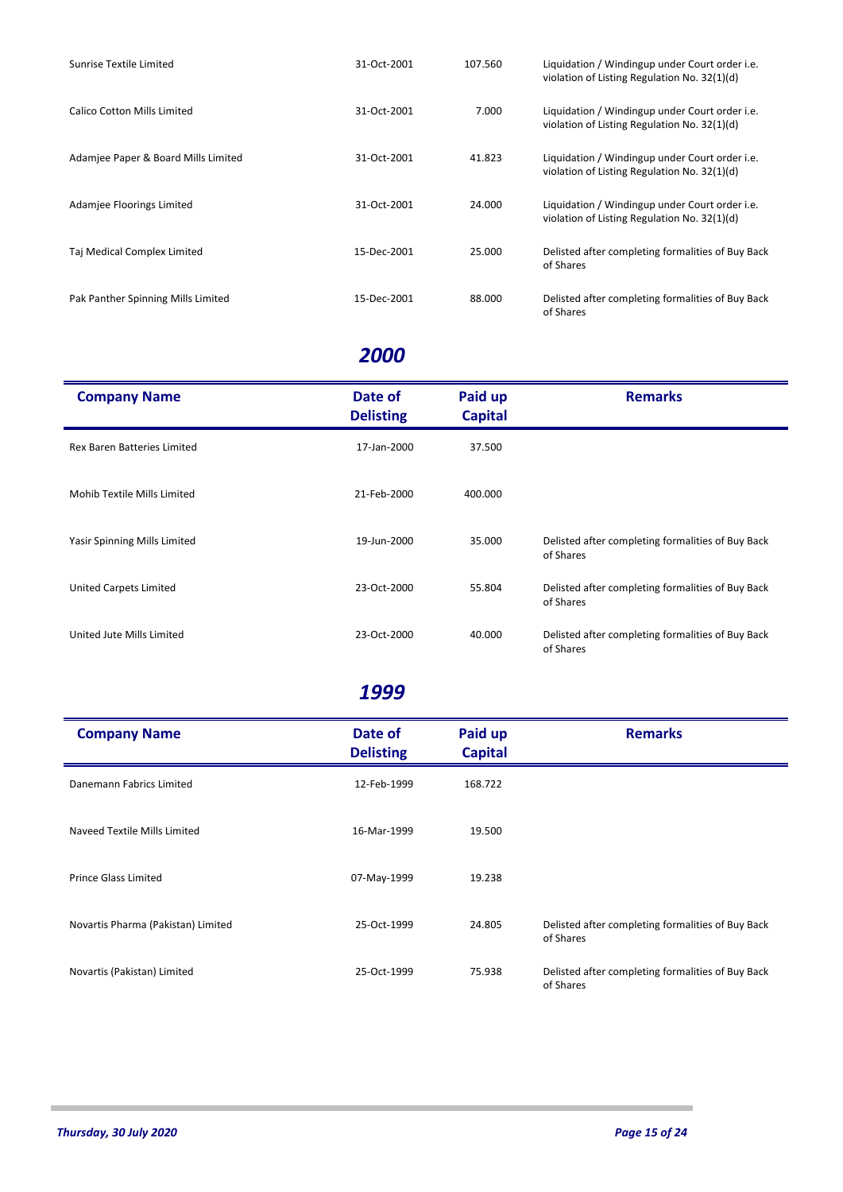| Sunrise Textile Limited             | 31-Oct-2001 | 107.560 | Liquidation / Windingup under Court order i.e.<br>violation of Listing Regulation No. 32(1)(d) |
|-------------------------------------|-------------|---------|------------------------------------------------------------------------------------------------|
| Calico Cotton Mills Limited         | 31-Oct-2001 | 7.000   | Liquidation / Windingup under Court order i.e.<br>violation of Listing Regulation No. 32(1)(d) |
| Adamjee Paper & Board Mills Limited | 31-Oct-2001 | 41.823  | Liquidation / Windingup under Court order i.e.<br>violation of Listing Regulation No. 32(1)(d) |
| Adamjee Floorings Limited           | 31-Oct-2001 | 24.000  | Liquidation / Windingup under Court order i.e.<br>violation of Listing Regulation No. 32(1)(d) |
| Taj Medical Complex Limited         | 15-Dec-2001 | 25.000  | Delisted after completing formalities of Buy Back<br>of Shares                                 |
| Pak Panther Spinning Mills Limited  | 15-Dec-2001 | 88.000  | Delisted after completing formalities of Buy Back<br>of Shares                                 |

| <b>Company Name</b>          | Date of<br><b>Delisting</b> | Paid up<br><b>Capital</b> | <b>Remarks</b>                                                 |
|------------------------------|-----------------------------|---------------------------|----------------------------------------------------------------|
| Rex Baren Batteries Limited  | 17-Jan-2000                 | 37.500                    |                                                                |
| Mohib Textile Mills Limited  | 21-Feb-2000                 | 400.000                   |                                                                |
| Yasir Spinning Mills Limited | 19-Jun-2000                 | 35.000                    | Delisted after completing formalities of Buy Back<br>of Shares |
| United Carpets Limited       | 23-Oct-2000                 | 55.804                    | Delisted after completing formalities of Buy Back<br>of Shares |
| United Jute Mills Limited    | 23-Oct-2000                 | 40.000                    | Delisted after completing formalities of Buy Back<br>of Shares |

| <b>Company Name</b>                | Date of<br><b>Delisting</b> | Paid up<br><b>Capital</b> | <b>Remarks</b>                                                 |
|------------------------------------|-----------------------------|---------------------------|----------------------------------------------------------------|
| Danemann Fabrics Limited           | 12-Feb-1999                 | 168.722                   |                                                                |
| Naveed Textile Mills Limited       | 16-Mar-1999                 | 19.500                    |                                                                |
| Prince Glass Limited               | 07-May-1999                 | 19.238                    |                                                                |
| Novartis Pharma (Pakistan) Limited | 25-Oct-1999                 | 24.805                    | Delisted after completing formalities of Buy Back<br>of Shares |
| Novartis (Pakistan) Limited        | 25-Oct-1999                 | 75.938                    | Delisted after completing formalities of Buy Back<br>of Shares |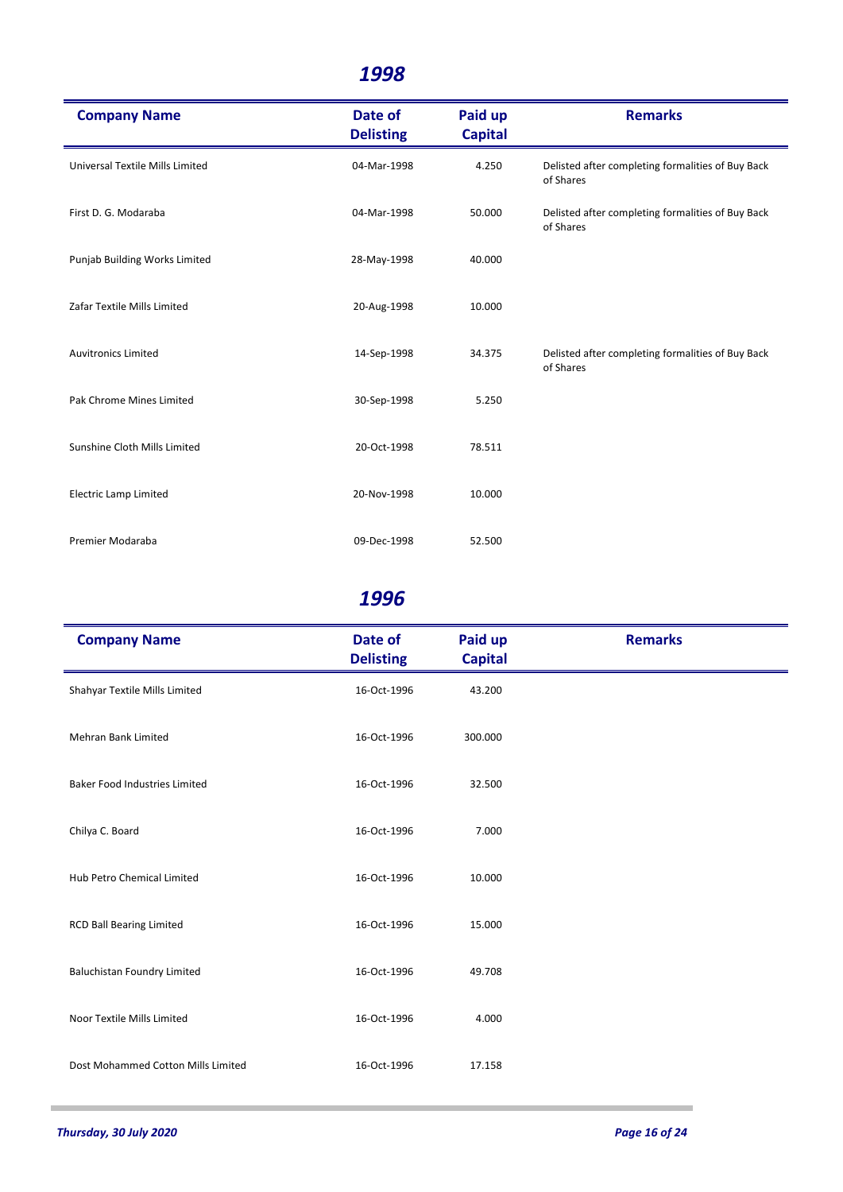| <b>Company Name</b>             | Date of<br><b>Delisting</b> | Paid up<br><b>Capital</b> | <b>Remarks</b>                                                 |
|---------------------------------|-----------------------------|---------------------------|----------------------------------------------------------------|
| Universal Textile Mills Limited | 04-Mar-1998                 | 4.250                     | Delisted after completing formalities of Buy Back<br>of Shares |
| First D. G. Modaraba            | 04-Mar-1998                 | 50.000                    | Delisted after completing formalities of Buy Back<br>of Shares |
| Punjab Building Works Limited   | 28-May-1998                 | 40.000                    |                                                                |
| Zafar Textile Mills Limited     | 20-Aug-1998                 | 10.000                    |                                                                |
| <b>Auvitronics Limited</b>      | 14-Sep-1998                 | 34.375                    | Delisted after completing formalities of Buy Back<br>of Shares |
| Pak Chrome Mines Limited        | 30-Sep-1998                 | 5.250                     |                                                                |
| Sunshine Cloth Mills Limited    | 20-Oct-1998                 | 78.511                    |                                                                |
| <b>Electric Lamp Limited</b>    | 20-Nov-1998                 | 10.000                    |                                                                |
| Premier Modaraba                | 09-Dec-1998                 | 52.500                    |                                                                |

| <b>Company Name</b>                  | Date of<br><b>Delisting</b> | Paid up<br><b>Capital</b> | <b>Remarks</b> |
|--------------------------------------|-----------------------------|---------------------------|----------------|
| Shahyar Textile Mills Limited        | 16-Oct-1996                 | 43.200                    |                |
| <b>Mehran Bank Limited</b>           | 16-Oct-1996                 | 300.000                   |                |
| <b>Baker Food Industries Limited</b> | 16-Oct-1996                 | 32.500                    |                |
| Chilya C. Board                      | 16-Oct-1996                 | 7.000                     |                |
| Hub Petro Chemical Limited           | 16-Oct-1996                 | 10.000                    |                |
| <b>RCD Ball Bearing Limited</b>      | 16-Oct-1996                 | 15.000                    |                |
| <b>Baluchistan Foundry Limited</b>   | 16-Oct-1996                 | 49.708                    |                |
| Noor Textile Mills Limited           | 16-Oct-1996                 | 4.000                     |                |
| Dost Mohammed Cotton Mills Limited   | 16-Oct-1996                 | 17.158                    |                |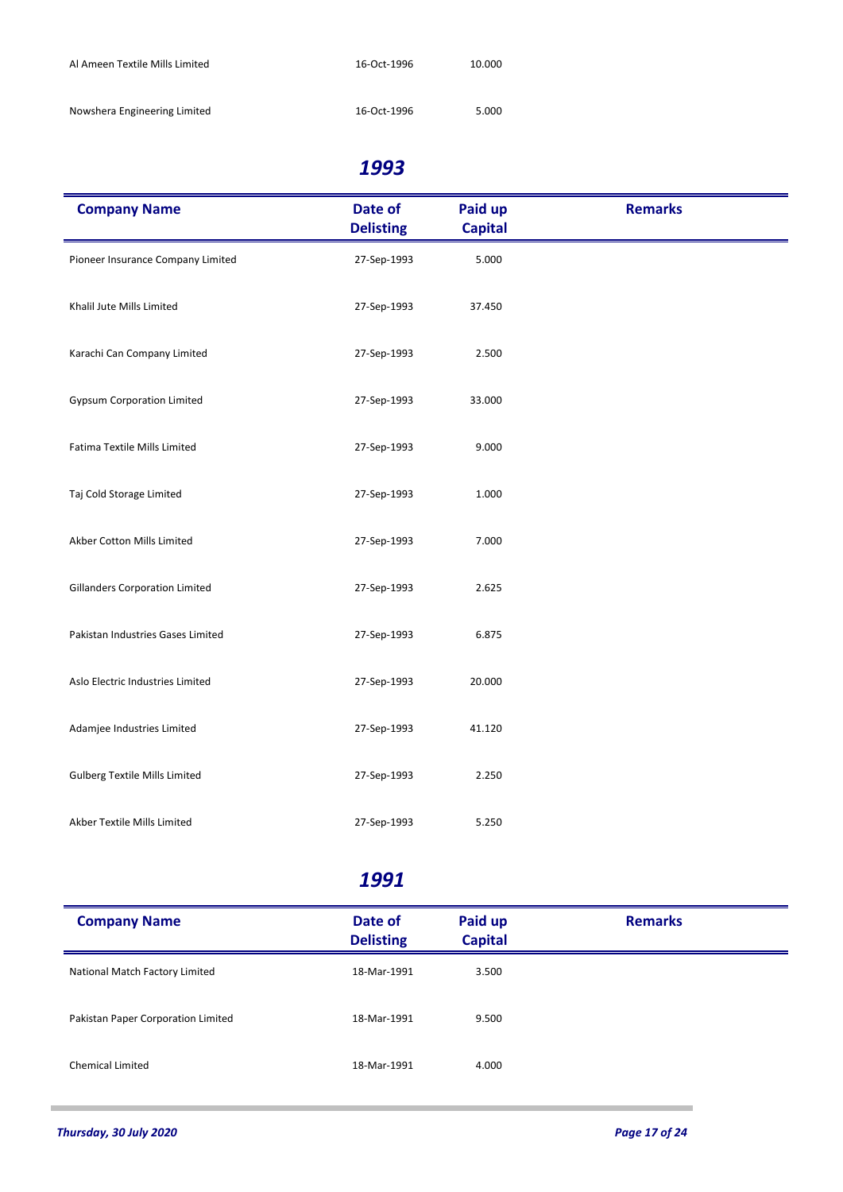| Al Ameen Textile Mills Limited | 16-Oct-1996 | 10.000 |
|--------------------------------|-------------|--------|
| Nowshera Engineering Limited   | 16-Oct-1996 | 5.000  |

| <b>Company Name</b>                   | Date of<br><b>Delisting</b> | Paid up<br><b>Capital</b> | <b>Remarks</b> |
|---------------------------------------|-----------------------------|---------------------------|----------------|
| Pioneer Insurance Company Limited     | 27-Sep-1993                 | 5.000                     |                |
| Khalil Jute Mills Limited             | 27-Sep-1993                 | 37.450                    |                |
| Karachi Can Company Limited           | 27-Sep-1993                 | 2.500                     |                |
| <b>Gypsum Corporation Limited</b>     | 27-Sep-1993                 | 33.000                    |                |
| Fatima Textile Mills Limited          | 27-Sep-1993                 | 9.000                     |                |
| Taj Cold Storage Limited              | 27-Sep-1993                 | 1.000                     |                |
| Akber Cotton Mills Limited            | 27-Sep-1993                 | 7.000                     |                |
| <b>Gillanders Corporation Limited</b> | 27-Sep-1993                 | 2.625                     |                |
| Pakistan Industries Gases Limited     | 27-Sep-1993                 | 6.875                     |                |
| Aslo Electric Industries Limited      | 27-Sep-1993                 | 20.000                    |                |
| Adamjee Industries Limited            | 27-Sep-1993                 | 41.120                    |                |
| <b>Gulberg Textile Mills Limited</b>  | 27-Sep-1993                 | 2.250                     |                |
| Akber Textile Mills Limited           | 27-Sep-1993                 | 5.250                     |                |

| <b>Company Name</b>                | Date of<br><b>Delisting</b> | Paid up<br><b>Capital</b> | <b>Remarks</b> |
|------------------------------------|-----------------------------|---------------------------|----------------|
| National Match Factory Limited     | 18-Mar-1991                 | 3.500                     |                |
| Pakistan Paper Corporation Limited | 18-Mar-1991                 | 9.500                     |                |
| <b>Chemical Limited</b>            | 18-Mar-1991                 | 4.000                     |                |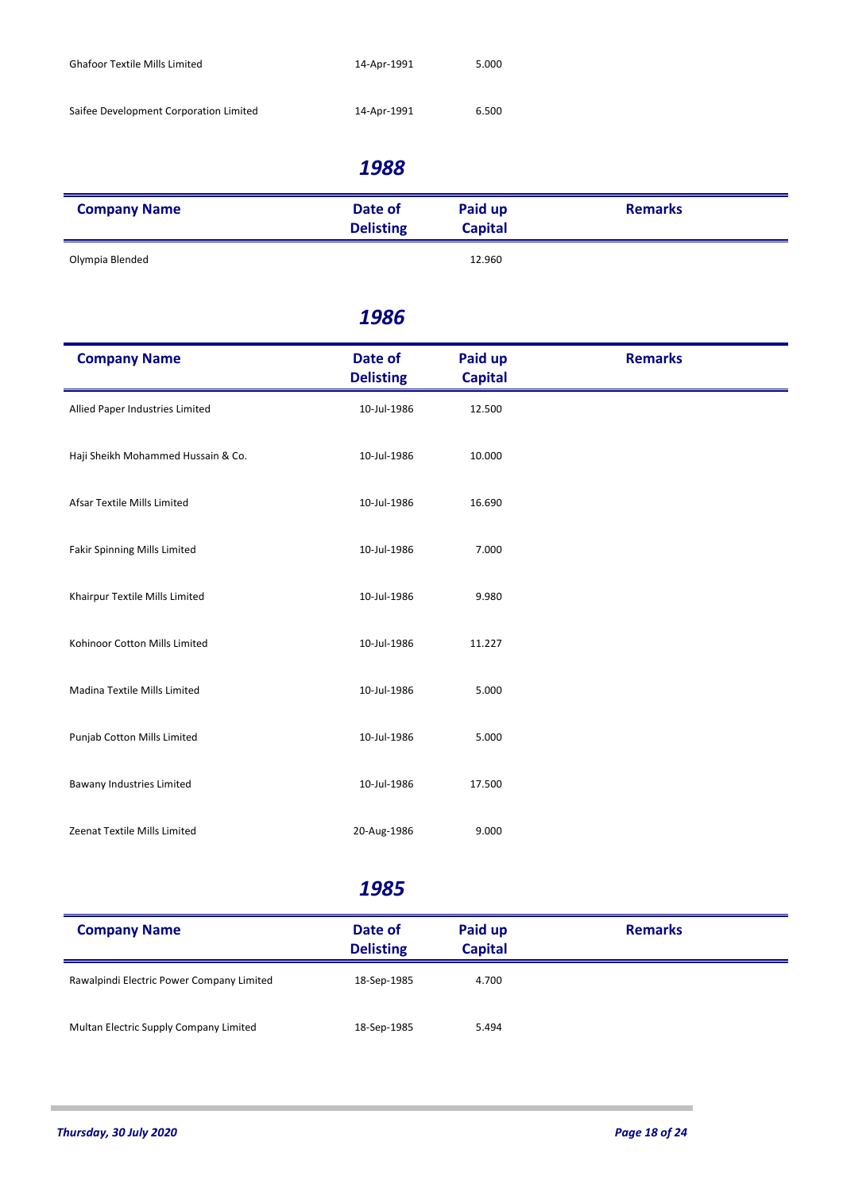| <b>Ghafoor Textile Mills Limited</b>   | 14-Apr-1991 | 5.000 |
|----------------------------------------|-------------|-------|
| Saifee Development Corporation Limited | 14-Apr-1991 | 6.500 |

| <b>Company Name</b> | Date of<br><b>Delisting</b> | Paid up<br><b>Capital</b> | <b>Remarks</b> |
|---------------------|-----------------------------|---------------------------|----------------|
| Olympia Blended     |                             | 12.960                    |                |

#### *1986*

| <b>Company Name</b>                 | Date of<br><b>Delisting</b> | Paid up<br><b>Capital</b> | <b>Remarks</b> |
|-------------------------------------|-----------------------------|---------------------------|----------------|
| Allied Paper Industries Limited     | 10-Jul-1986                 | 12.500                    |                |
| Haji Sheikh Mohammed Hussain & Co.  | 10-Jul-1986                 | 10.000                    |                |
| Afsar Textile Mills Limited         | 10-Jul-1986                 | 16.690                    |                |
| <b>Fakir Spinning Mills Limited</b> | 10-Jul-1986                 | 7.000                     |                |
| Khairpur Textile Mills Limited      | 10-Jul-1986                 | 9.980                     |                |
| Kohinoor Cotton Mills Limited       | 10-Jul-1986                 | 11.227                    |                |
| Madina Textile Mills Limited        | 10-Jul-1986                 | 5.000                     |                |
| Punjab Cotton Mills Limited         | 10-Jul-1986                 | 5.000                     |                |
| Bawany Industries Limited           | 10-Jul-1986                 | 17.500                    |                |
| Zeenat Textile Mills Limited        | 20-Aug-1986                 | 9.000                     |                |

| <b>Company Name</b>                       | Date of<br><b>Delisting</b> | Paid up<br><b>Capital</b> | <b>Remarks</b> |
|-------------------------------------------|-----------------------------|---------------------------|----------------|
| Rawalpindi Electric Power Company Limited | 18-Sep-1985                 | 4.700                     |                |
| Multan Electric Supply Company Limited    | 18-Sep-1985                 | 5.494                     |                |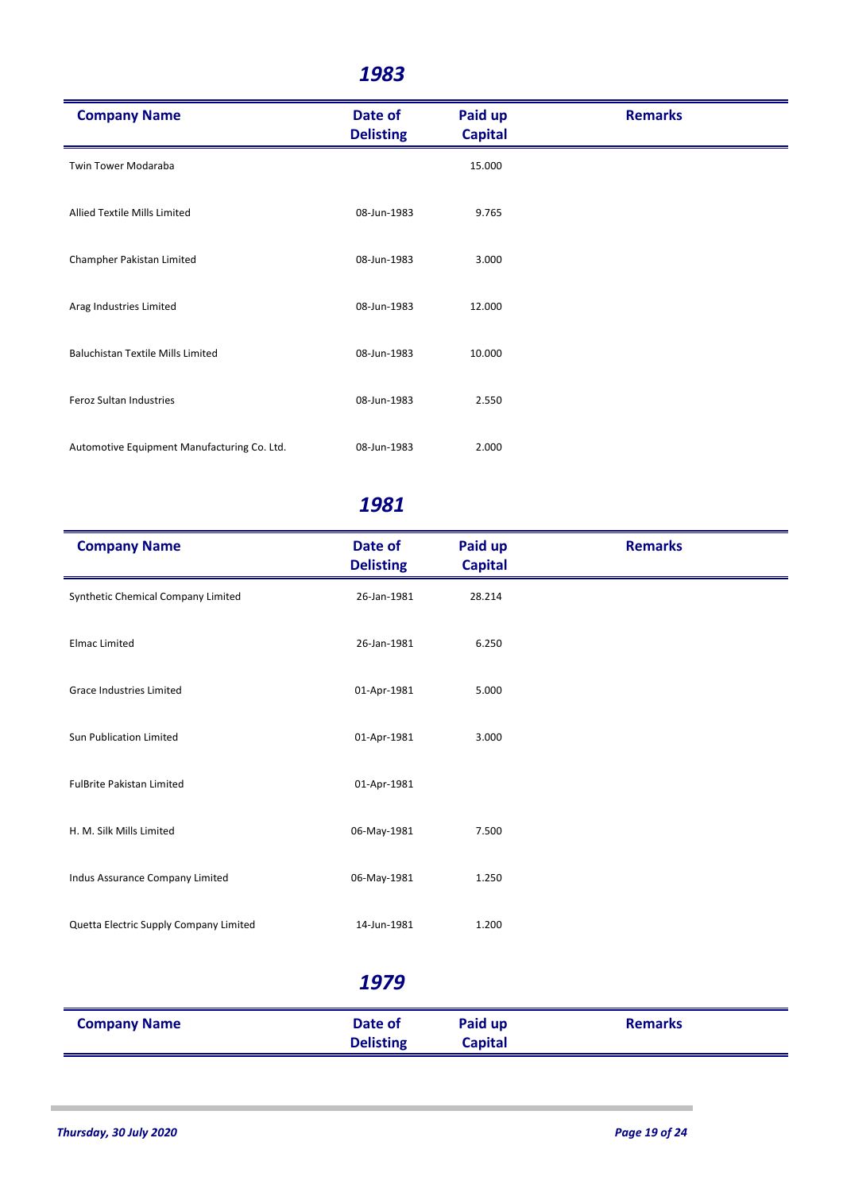| <b>Company Name</b>                         | Date of<br><b>Delisting</b> | Paid up<br><b>Capital</b> | <b>Remarks</b> |
|---------------------------------------------|-----------------------------|---------------------------|----------------|
| Twin Tower Modaraba                         |                             | 15.000                    |                |
| Allied Textile Mills Limited                | 08-Jun-1983                 | 9.765                     |                |
| Champher Pakistan Limited                   | 08-Jun-1983                 | 3.000                     |                |
| Arag Industries Limited                     | 08-Jun-1983                 | 12.000                    |                |
| <b>Baluchistan Textile Mills Limited</b>    | 08-Jun-1983                 | 10.000                    |                |
| Feroz Sultan Industries                     | 08-Jun-1983                 | 2.550                     |                |
| Automotive Equipment Manufacturing Co. Ltd. | 08-Jun-1983                 | 2.000                     |                |

| <b>Company Name</b>                    | Date of<br><b>Delisting</b> | Paid up<br><b>Capital</b> | <b>Remarks</b> |
|----------------------------------------|-----------------------------|---------------------------|----------------|
| Synthetic Chemical Company Limited     | 26-Jan-1981                 | 28.214                    |                |
| <b>Elmac Limited</b>                   | 26-Jan-1981                 | 6.250                     |                |
| Grace Industries Limited               | 01-Apr-1981                 | 5.000                     |                |
| Sun Publication Limited                | 01-Apr-1981                 | 3.000                     |                |
| <b>FulBrite Pakistan Limited</b>       | 01-Apr-1981                 |                           |                |
| H. M. Silk Mills Limited               | 06-May-1981                 | 7.500                     |                |
| Indus Assurance Company Limited        | 06-May-1981                 | 1.250                     |                |
| Quetta Electric Supply Company Limited | 14-Jun-1981                 | 1.200                     |                |
|                                        | 1979                        |                           |                |
| <b>Company Name</b>                    | Date of<br><b>Delisting</b> | Paid up<br><b>Capital</b> | <b>Remarks</b> |
|                                        |                             |                           |                |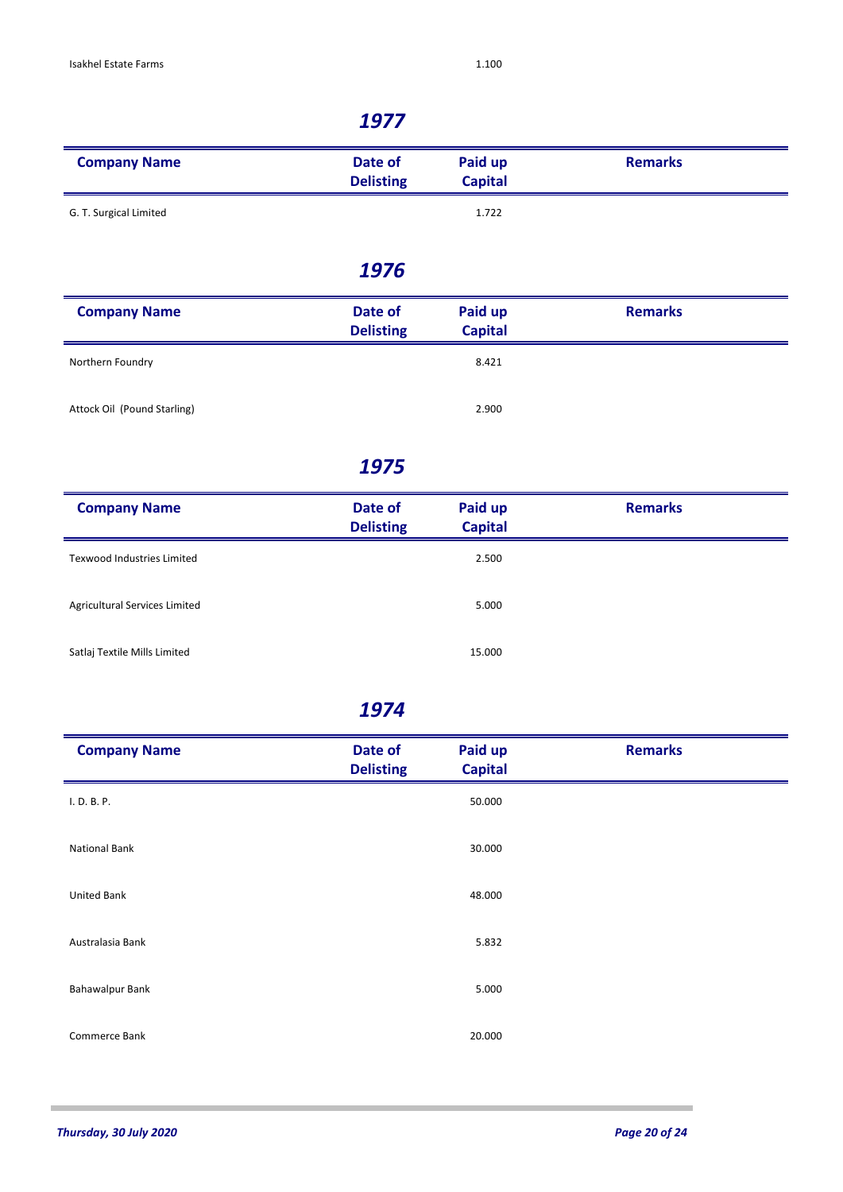| <b>Company Name</b>    | Date of<br><b>Delisting</b> | Paid up<br><b>Capital</b> | <b>Remarks</b> |
|------------------------|-----------------------------|---------------------------|----------------|
| G. T. Surgical Limited |                             | 1.722                     |                |

#### *1976*

| <b>Company Name</b>         | Date of<br><b>Delisting</b> | Paid up<br><b>Capital</b> | <b>Remarks</b> |
|-----------------------------|-----------------------------|---------------------------|----------------|
| Northern Foundry            |                             | 8.421                     |                |
| Attock Oil (Pound Starling) |                             | 2.900                     |                |

## *1975*

| <b>Company Name</b>               | Date of<br><b>Delisting</b> | Paid up<br><b>Capital</b> | <b>Remarks</b> |
|-----------------------------------|-----------------------------|---------------------------|----------------|
| <b>Texwood Industries Limited</b> |                             | 2.500                     |                |
| Agricultural Services Limited     |                             | 5.000                     |                |
| Satlaj Textile Mills Limited      |                             | 15.000                    |                |

| <b>Company Name</b>    | Date of<br><b>Delisting</b> | Paid up<br><b>Capital</b> | <b>Remarks</b> |
|------------------------|-----------------------------|---------------------------|----------------|
| I. D. B. P.            |                             | 50.000                    |                |
| <b>National Bank</b>   |                             | 30.000                    |                |
| United Bank            |                             | 48.000                    |                |
| Australasia Bank       |                             | 5.832                     |                |
| <b>Bahawalpur Bank</b> |                             | 5.000                     |                |
| Commerce Bank          |                             | 20.000                    |                |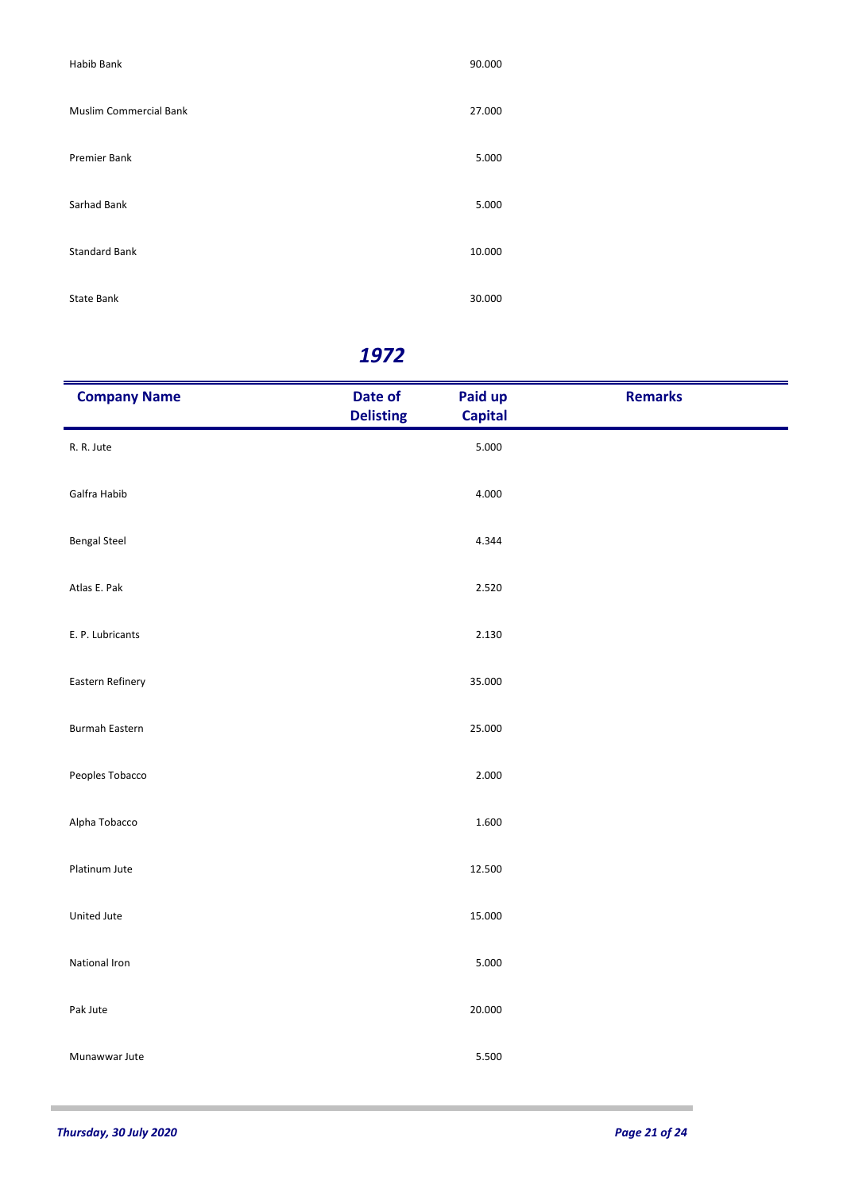| Habib Bank                    | 90.000 |
|-------------------------------|--------|
| <b>Muslim Commercial Bank</b> | 27.000 |
| Premier Bank                  | 5.000  |
| Sarhad Bank                   | 5.000  |
| <b>Standard Bank</b>          | 10.000 |
| <b>State Bank</b>             | 30.000 |

| <b>Company Name</b>   | Date of<br><b>Delisting</b> | Paid up<br><b>Capital</b> | <b>Remarks</b> |
|-----------------------|-----------------------------|---------------------------|----------------|
| R. R. Jute            |                             | 5.000                     |                |
| Galfra Habib          |                             | 4.000                     |                |
| <b>Bengal Steel</b>   |                             | 4.344                     |                |
| Atlas E. Pak          |                             | 2.520                     |                |
| E. P. Lubricants      |                             | 2.130                     |                |
| Eastern Refinery      |                             | 35.000                    |                |
| <b>Burmah Eastern</b> |                             | 25.000                    |                |
| Peoples Tobacco       |                             | 2.000                     |                |
| Alpha Tobacco         |                             | 1.600                     |                |
| Platinum Jute         |                             | 12.500                    |                |
| United Jute           |                             | 15.000                    |                |
| National Iron         |                             | 5.000                     |                |
| Pak Jute              |                             | 20.000                    |                |
| Munawwar Jute         |                             | 5.500                     |                |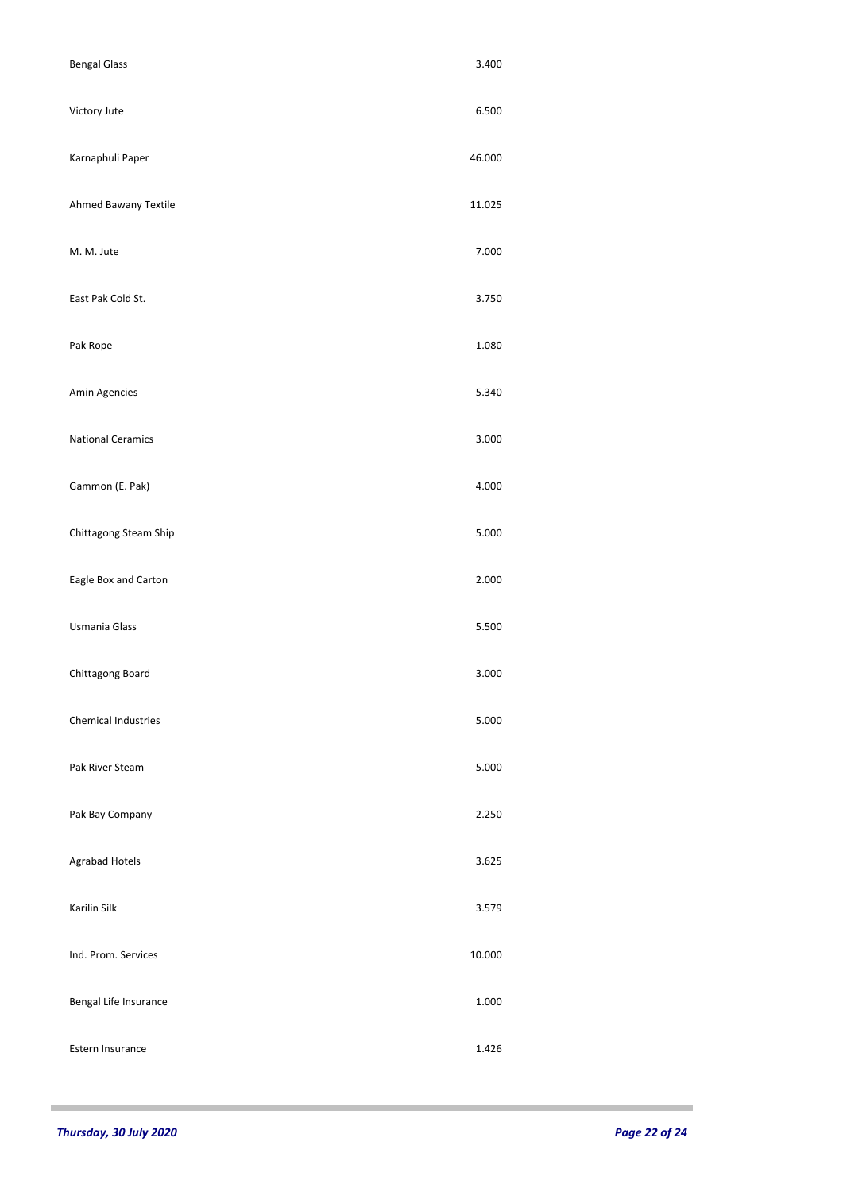| <b>Bengal Glass</b>        | 3.400  |
|----------------------------|--------|
| Victory Jute               | 6.500  |
| Karnaphuli Paper           | 46.000 |
| Ahmed Bawany Textile       | 11.025 |
| M. M. Jute                 | 7.000  |
| East Pak Cold St.          | 3.750  |
| Pak Rope                   | 1.080  |
| Amin Agencies              | 5.340  |
| <b>National Ceramics</b>   | 3.000  |
| Gammon (E. Pak)            | 4.000  |
| Chittagong Steam Ship      | 5.000  |
| Eagle Box and Carton       | 2.000  |
| Usmania Glass              | 5.500  |
| Chittagong Board           | 3.000  |
| <b>Chemical Industries</b> | 5.000  |
| Pak River Steam            | 5.000  |
| Pak Bay Company            | 2.250  |
| Agrabad Hotels             | 3.625  |
| Karilin Silk               | 3.579  |
| Ind. Prom. Services        | 10.000 |
| Bengal Life Insurance      | 1.000  |
| Estern Insurance           | 1.426  |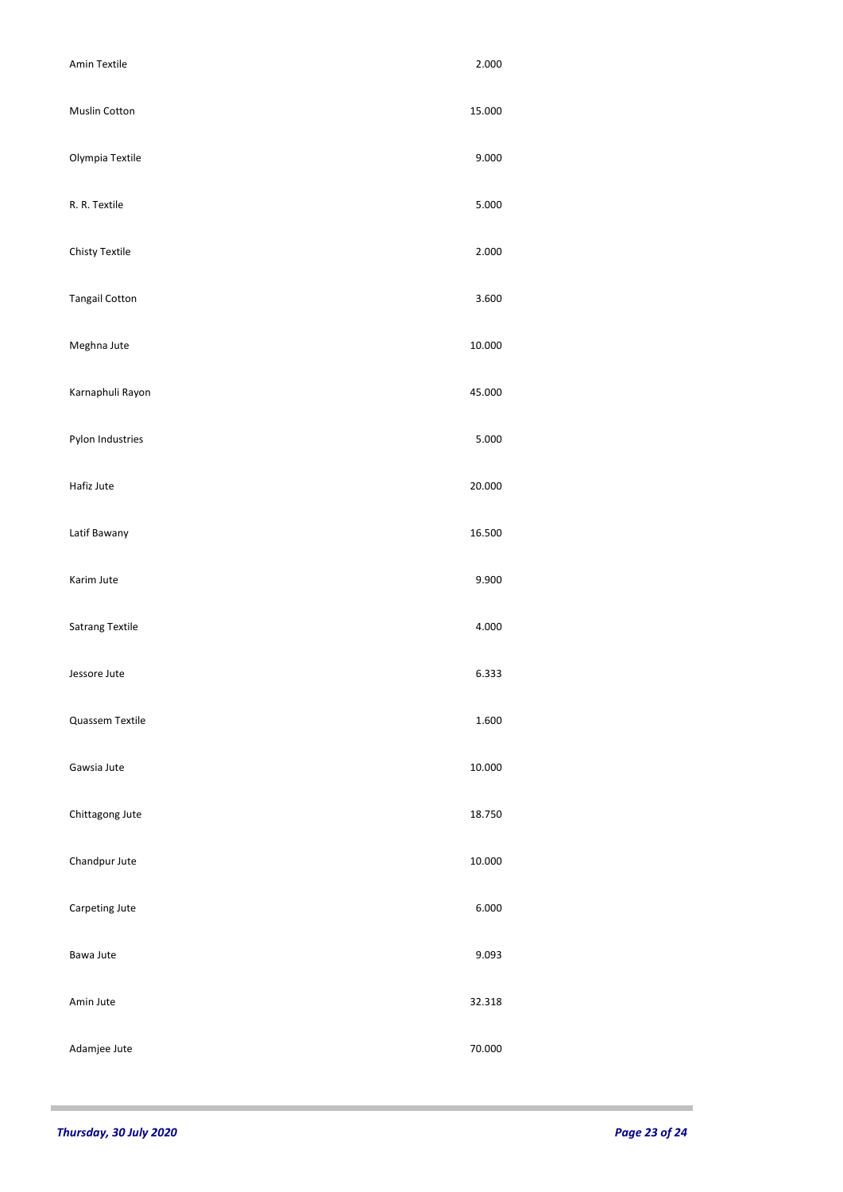|                       | 2.000  |
|-----------------------|--------|
| Muslin Cotton         | 15.000 |
| Olympia Textile       | 9.000  |
| R. R. Textile         | 5.000  |
| <b>Chisty Textile</b> | 2.000  |
| <b>Tangail Cotton</b> | 3.600  |
| Meghna Jute           | 10.000 |
| Karnaphuli Rayon      | 45.000 |
| Pylon Industries      | 5.000  |
| Hafiz Jute            | 20.000 |
| Latif Bawany          | 16.500 |
| Karim Jute            | 9.900  |
|                       | 4.000  |
| Satrang Textile       |        |
| Jessore Jute          | 6.333  |
| Quassem Textile       | 1.600  |
| Gawsia Jute           | 10.000 |
| Chittagong Jute       | 18.750 |
| Chandpur Jute         | 10.000 |
| Carpeting Jute        | 6.000  |
| Bawa Jute             | 9.093  |
| Amin Jute             | 32.318 |